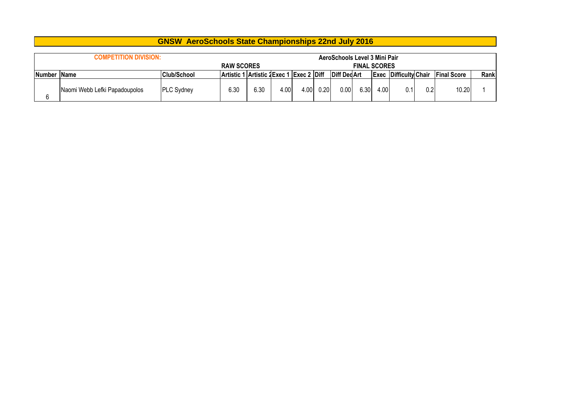|                      | <b>COMPETITION DIVISION:</b><br><b>RAW SCORES</b> |                    |                                          |      |      |      |      | AeroSchools Level 3 Mini Pair | <b>FINAL SCORES</b> |      |                              |     |                    |      |
|----------------------|---------------------------------------------------|--------------------|------------------------------------------|------|------|------|------|-------------------------------|---------------------|------|------------------------------|-----|--------------------|------|
| <b>INumber IName</b> |                                                   | <b>Club/School</b> | Artistic 1 Artistic 2 Exec 1 Exec 2 Diff |      |      |      |      | <b>Diff DecArt</b>            |                     |      | <b>Exec Difficulty Chair</b> |     | <b>Final Score</b> | Rank |
| 6                    | Naomi Webb Lefki Papadoupolos                     | <b>PLC Sydney</b>  | 6.30                                     | 6.30 | 4.00 | 4.00 | 0.20 | 0.00                          | 6.30                | 4.00 | 0.1                          | 0.2 | 10.20              |      |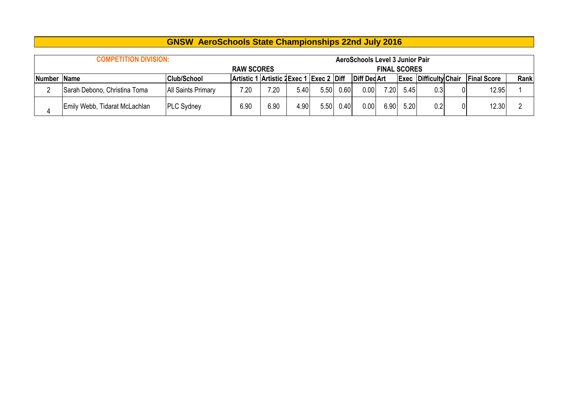|             | <b>COMPETITION DIVISION:</b>  |                           |                                          |      |      |      |      | AeroSchools Level 3 Junior Pair |                     |      |                              |                    |             |
|-------------|-------------------------------|---------------------------|------------------------------------------|------|------|------|------|---------------------------------|---------------------|------|------------------------------|--------------------|-------------|
|             |                               |                           | <b>RAW SCORES</b>                        |      |      |      |      |                                 | <b>FINAL SCORES</b> |      |                              |                    |             |
| Number Name |                               | <b>Club/School</b>        | Artistic 1 Artistic 2 Exec 1 Exec 2 Diff |      |      |      |      | <b>Diff DedArt</b>              |                     |      | <b>Exec Difficulty Chair</b> | <b>Final Score</b> | <b>Rank</b> |
|             | Sarah Debono, Christina Toma  | <b>All Saints Primary</b> | 7.20                                     | 7.20 | 5.40 | 5.50 | 0.60 | 0.00                            | 7.20                | 5.45 | 0.3                          | 12.95              |             |
|             | Emily Webb, Tidarat McLachlan | <b>PLC Sydney</b>         | 6.90                                     | 6.90 | 4.90 | 5.50 | 0.40 | 0.00                            | 6.90                | 5.20 | 0.2                          | 12.30              |             |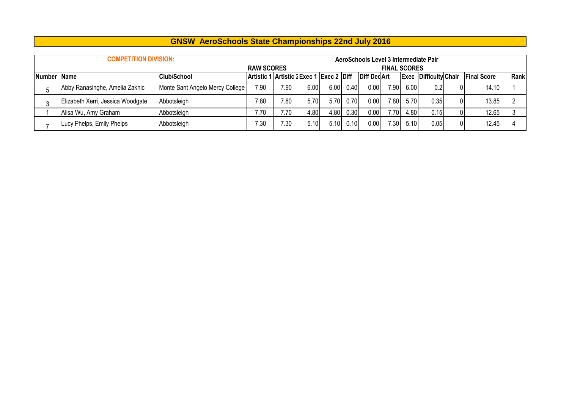|             | <b>COMPETITION DIVISION:</b>      |                                          |                   |      |      |      |                     | AeroSchools Level 3 Intermediate Pair |                     |                              |                    |       |  |
|-------------|-----------------------------------|------------------------------------------|-------------------|------|------|------|---------------------|---------------------------------------|---------------------|------------------------------|--------------------|-------|--|
|             |                                   |                                          | <b>RAW SCORES</b> |      |      |      |                     |                                       | <b>FINAL SCORES</b> |                              |                    |       |  |
| Number Name |                                   | Artistic 1 Artistic 2 Exec 1 Exec 2 Diff |                   |      |      |      | <b>Diff Ded Art</b> |                                       |                     | <b>Exec Difficulty Chair</b> | <b>Final Score</b> | Rank  |  |
|             | Abby Ranasinghe, Amelia Zaknic    | Monte Sant Angelo Mercy College          | 7.90              | 7.90 | 6.00 | 6.00 | 0.40                | 0.00 <sub>1</sub>                     | 7.90                | 6.00                         | 0.2 <sub>l</sub>   | 14.10 |  |
|             | Elizabeth Xerri, Jessica Woodgate | Abbotsleigh                              | 7.80              | 7.80 | 5.70 | 5.70 | 0.70                | 0.00                                  | 7.80                | 5.70                         | 0.35               | 13.85 |  |
|             | Alisa Wu, Amy Graham              | Abbotsleigh                              | 7.70              | 7.70 | 4.80 | 4.80 | 0.30                | 0.00                                  | 7.70                | 4.80                         | 0.15               | 12.65 |  |
|             | Lucy Phelps, Emily Phelps         | Abbotsleigh                              | 7.30              | 7.30 | 5.10 | 5.10 | 0.10                | 0.00                                  | 7.30                | 5.10                         | 0.05               | 12.45 |  |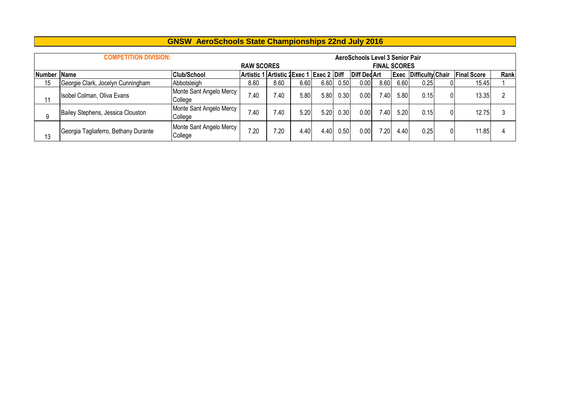|    | <b>COMPETITION DIVISION:</b>         |                                    |                   |                                              |      |      |      | AeroSchools Level 3 Senior Pair |                     |      |                         |                    |      |
|----|--------------------------------------|------------------------------------|-------------------|----------------------------------------------|------|------|------|---------------------------------|---------------------|------|-------------------------|--------------------|------|
|    |                                      |                                    | <b>RAW SCORES</b> |                                              |      |      |      |                                 | <b>FINAL SCORES</b> |      |                         |                    |      |
|    | Club/School<br>Number Name           |                                    |                   | Artistic 1 Artistic 1 Exec 1   Exec 2   Diff |      |      |      | <b>Diff DedArt</b>              |                     | Exec | <b>Difficulty Chair</b> | <b>Final Score</b> | Rank |
| 15 | Georgie Clark, Jocelyn Cunningham    | Abbotsleigh                        | 8.60              | 8.60                                         | 6.60 | 6.60 | 0.50 | 0.00                            | 8.60                | 6.60 | 0.25                    | 15.45              |      |
| 11 | Isobel Colman, Oliva Evans           | Monte Sant Angelo Mercy<br>College | 7.40              | .40                                          | 5.80 | 5.80 | 0.30 | 0.00                            | 7.40                | 5.80 | 0.15                    | 13.35              |      |
| a  | Bailey Stephens, Jessica Clouston    | Monte Sant Angelo Mercy<br>College | 7.40              | .40                                          | 5.20 | 5.20 | 0.30 | 0.00                            | 7.40                | 5.20 | 0.15                    | 12.75              |      |
| 13 | Georgia Tagliaferro, Bethany Durante | Monte Sant Angelo Mercy<br>College | 7.20              | 7.20                                         | 4.40 | 4.40 | 0.50 | 0.00                            | 7.20                | 4.40 | 0.25                    | 11.85              |      |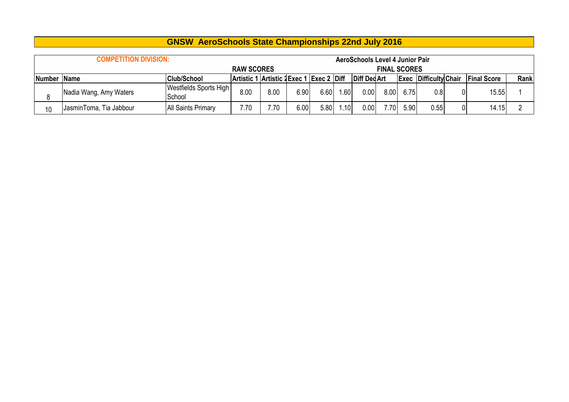|             | <b>COMPETITION DIVISION:</b> |                                          |                   |      |      |      |              | AeroSchools Level 4 Junior Pair |                     |                              |      |                    |       |  |
|-------------|------------------------------|------------------------------------------|-------------------|------|------|------|--------------|---------------------------------|---------------------|------------------------------|------|--------------------|-------|--|
|             |                              |                                          | <b>RAW SCORES</b> |      |      |      |              |                                 | <b>FINAL SCORES</b> |                              |      |                    |       |  |
| Number Name |                              | Artistic 1 Artistic 2 Exec 1 Exec 2 Diff |                   |      |      |      | Diff Ded Art |                                 |                     | <b>Exec Difficulty Chair</b> |      | <b>Final Score</b> | Rank  |  |
|             | Nadia Wang, Amy Waters       | Westfields Sports High<br>School         | 8.00              | 8.00 | 6.90 | 6.60 | .601         | 0.00                            | 8.00                | 6.75                         | 0.8  |                    | 15.55 |  |
| 10          | JasminToma, Tia Jabbour      | <b>All Saints Primary</b>                | 7.70              | 7.70 | 6.00 | 5.80 | ا10،         | 0.00                            | 7.70I               | 5.90                         | 0.55 | 0                  | 14.15 |  |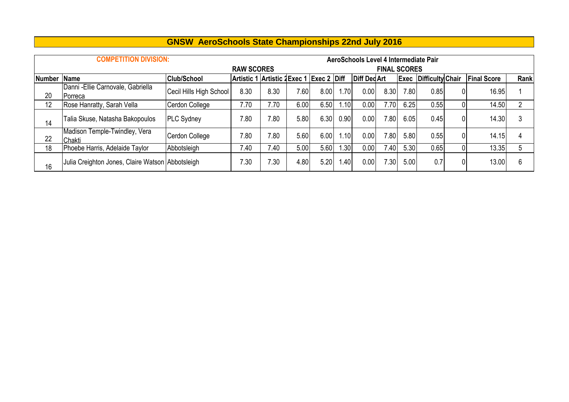|        | <b>COMPETITION DIVISION:</b>                     |                         |                                         |      |                   |      |       | AeroSchools Level 4 Intermediate Pair |                     |                   |                              |   |                    |               |
|--------|--------------------------------------------------|-------------------------|-----------------------------------------|------|-------------------|------|-------|---------------------------------------|---------------------|-------------------|------------------------------|---|--------------------|---------------|
|        |                                                  |                         | <b>RAW SCORES</b>                       |      |                   |      |       |                                       | <b>FINAL SCORES</b> |                   |                              |   |                    |               |
| Number | <b>Name</b>                                      | <b>Club/School</b>      | Artistic 1 Artistic 2Exec 1 Exec 2 Diff |      |                   |      |       | <b>Diff DedArt</b>                    |                     |                   | <b>Exec Difficulty Chair</b> |   | <b>Final Score</b> | <b>Rank</b>   |
| 20     | Danni - Ellie Carnovale, Gabriella<br>Porreca    | Cecil Hills High School | 8.30                                    | 8.30 | 7.60 <sub>1</sub> | 8.00 | .701  | 0.00                                  | 8.30                | 7.80 <sub>1</sub> | 0.85                         | 0 | 16.95              |               |
| 12     | Rose Hanratty, Sarah Vella                       | Cerdon College          | 7.70                                    | 7.70 | 6.00              | 6.50 | 1.10  | 0.00                                  | 7.701               | 6.25              | 0.55                         | 0 | 14.50              | $\mathcal{P}$ |
| 14     | Talia Skuse, Natasha Bakopoulos                  | <b>PLC Sydney</b>       | 7.80                                    | 7.80 | 5.80              | 6.30 | 0.90  | 0.00                                  | 7.801               | 6.05              | 0.45                         | 0 | 14.30              | 3             |
| 22     | Madison Temple-Twindley, Vera<br>Chakti          | Cerdon College          | 7.80                                    | 7.80 | 5.60              | 6.00 | ا10.، | 0.00                                  | 7.80                | 5.80              | 0.55                         | 0 | 14.15              | 4             |
| 18     | Phoebe Harris, Adelaide Taylor                   | Abbotsleigh             | 7.40                                    | 7.40 | 5.00              | 5.60 | .30   | 0.00                                  | 7.401               | 5.30              | 0.65                         | 0 | 13.35              | 5             |
| 16     | Julia Creighton Jones, Claire Watson Abbotsleigh |                         | 7.30                                    | 7.30 | 4.80              | 5.20 | 1.40  | 0.00                                  | 7.301               | 5.00              | 0.7                          | 0 | 13.00              | 6             |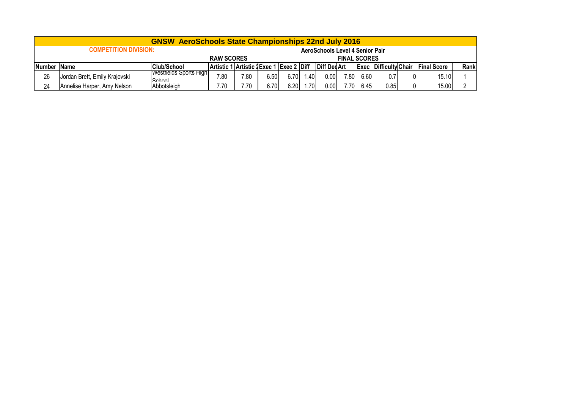|             |                               | <b>GNSW AeroSchools State Championships 22nd July 2016</b> |                                         |      |       |                                 |                     |              |       |      |                              |    |                     |      |
|-------------|-------------------------------|------------------------------------------------------------|-----------------------------------------|------|-------|---------------------------------|---------------------|--------------|-------|------|------------------------------|----|---------------------|------|
|             | <b>COMPETITION DIVISION:</b>  |                                                            |                                         |      |       | AeroSchools Level 4 Senior Pair |                     |              |       |      |                              |    |                     |      |
|             |                               | <b>RAW SCORES</b>                                          |                                         |      |       |                                 | <b>FINAL SCORES</b> |              |       |      |                              |    |                     |      |
| Number Name |                               | <b>Club/School</b>                                         | Artistic 1 Artistic 2Exec 1 Exec 2 Diff |      |       |                                 |                     | Diff Ded Art |       |      | <b>Exec Difficulty Chair</b> |    | <b>IFinal Score</b> | Rank |
| 26          | Jordan Brett, Emily Krajovski | Westfields Sports High<br>School                           | 7.80                                    | 7.80 | 6.50  | 6.70                            | .40 <sup>1</sup>    | 0.00         | 7.80  | 6.60 | 0.7                          |    | 15.10               |      |
| 24          | Annelise Harper, Amy Nelson   | Abbotsleigh                                                | 7.70                                    | 7.70 | 6.701 | 6.20                            | .70                 | 0.00         | 7.701 | 6.45 | 0.85                         | 01 | 15.00               |      |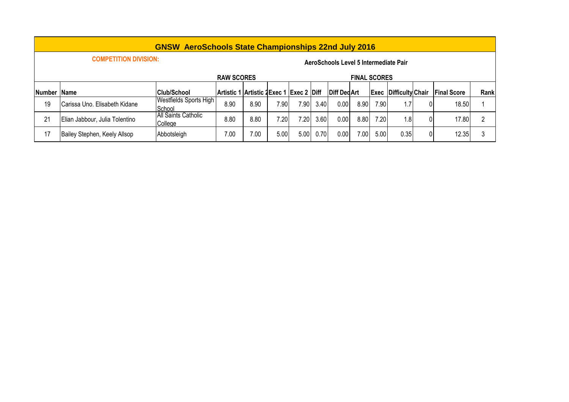|               |                                | <b>GNSW AeroSchools State Championships 22nd July 2016</b> |                                          |      |       |      |      |                                       |                     |      |                              |    |                    |      |
|---------------|--------------------------------|------------------------------------------------------------|------------------------------------------|------|-------|------|------|---------------------------------------|---------------------|------|------------------------------|----|--------------------|------|
|               | <b>COMPETITION DIVISION:</b>   |                                                            |                                          |      |       |      |      | AeroSchools Level 5 Intermediate Pair |                     |      |                              |    |                    |      |
|               |                                |                                                            | <b>RAW SCORES</b>                        |      |       |      |      |                                       | <b>FINAL SCORES</b> |      |                              |    |                    |      |
| <b>Number</b> | Name                           | <b>Club/School</b>                                         | Artistic 1 Artistic 2 Exec 1 Exec 2 Diff |      |       |      |      | <b>Diff DedArt</b>                    |                     |      | <b>Exec Difficulty Chair</b> |    | <b>Final Score</b> | Rank |
| 19            | Carissa Uno. Elisabeth Kidane  | Westfields Sports High<br>School                           | 8.90                                     | 8.90 | 7.901 | 7.90 | 3.40 | 0.00                                  | 8.90                | 7.90 | 1.7                          | 01 | 18.50              |      |
| 21            | Elian Jabbour, Julia Tolentino | All Saints Catholic<br>College                             | 8.80                                     | 8.80 | 7.20  | 7.20 | 3.60 | 0.00                                  | 8.80                | 7.20 | 1.8                          | 0  | 17.80              |      |
| 17            | Bailey Stephen, Keely Allsop   | Abbotsleigh                                                | 7.00                                     | 7.00 | 5.00  | 5.00 | 0.70 | 0.00                                  | 7.00 <sub>1</sub>   | 5.00 | 0.35                         | 0  | 12.35              |      |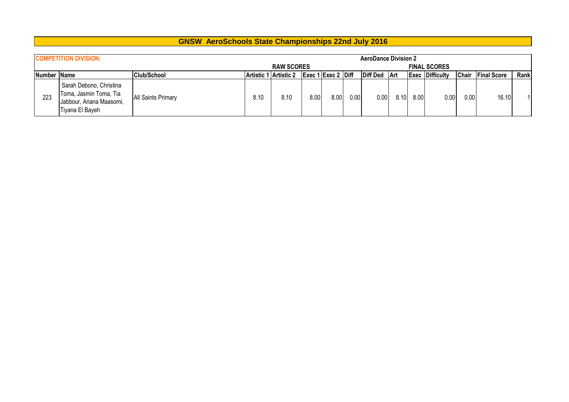|                      | <b>COMPETITION DIVISION:</b>                                                                     |                           |      |                       |      |                    |      | <b>AeroDance Division 2</b> |      |      |                        |              |                    |      |
|----------------------|--------------------------------------------------------------------------------------------------|---------------------------|------|-----------------------|------|--------------------|------|-----------------------------|------|------|------------------------|--------------|--------------------|------|
|                      |                                                                                                  |                           |      | <b>RAW SCORES</b>     |      |                    |      |                             |      |      | <b>FINAL SCORES</b>    |              |                    |      |
| <b>INumber IName</b> |                                                                                                  | <b>Club/School</b>        |      | Artistic 1 Artistic 2 |      | Exec 1 Exec 2 Diff |      | Diff Ded Art                |      |      | <b>Exec Difficulty</b> | <b>Chair</b> | <b>Final Score</b> | Rank |
| 223                  | Sarah Debono, Christina<br>Toma, Jasmin Toma, Tia<br>Jabbour, Ariana Maasomi,<br>Tiyana El Bayeh | <b>All Saints Primary</b> | 8.10 | 8.10                  | 8.00 | 8.00               | 0.00 | 0.00                        | 8.10 | 8.00 | 0.00                   | 0.00         | 16.10              |      |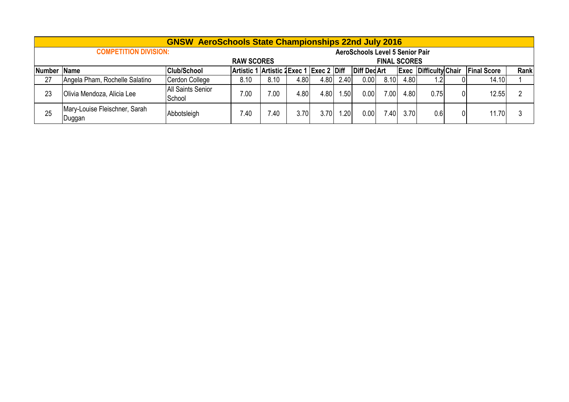|               |                                         | <b>GNSW AeroSchools State Championships 22nd July 2016</b> |                                          |      |       |      |                  |                                        |                     |      |                              |   |                    |      |
|---------------|-----------------------------------------|------------------------------------------------------------|------------------------------------------|------|-------|------|------------------|----------------------------------------|---------------------|------|------------------------------|---|--------------------|------|
|               | <b>COMPETITION DIVISION:</b>            |                                                            |                                          |      |       |      |                  | <b>AeroSchools Level 5 Senior Pair</b> |                     |      |                              |   |                    |      |
|               |                                         |                                                            | <b>RAW SCORES</b>                        |      |       |      |                  |                                        | <b>FINAL SCORES</b> |      |                              |   |                    |      |
| <b>Number</b> | <b>Name</b>                             | <b>Club/School</b>                                         | Artistic 1 Artistic 2 Exec 1 Exec 2 Diff |      |       |      |                  | <b>Diff DedArt</b>                     |                     |      | <b>Exec Difficulty Chair</b> |   | <b>Final Score</b> | Rank |
| 27            | Angela Pham, Rochelle Salatino          | Cerdon College                                             | 8.10                                     | 8.10 | 4.801 | 4.80 | 2.40             | 0.00                                   | 8.10                | 4.80 | 1.2                          |   | 14.10              |      |
| 23            | Olivia Mendoza, Alicia Lee              | <b>All Saints Senior</b><br>School                         | 7.00                                     | 7.00 | 4.80  | 4.80 | .50              | 0.00                                   | 7.00                | 4.80 | 0.75                         | 0 | 12.55              |      |
| 25            | Mary-Louise Fleischner, Sarah<br>Duggan | Abbotsleigh                                                | 7.40                                     | .40  | 3.70  | 3.70 | .20 <sub>l</sub> | 0.00                                   | .40 <sub>l</sub>    | 3.70 | 0.6                          | 0 | 1.70               |      |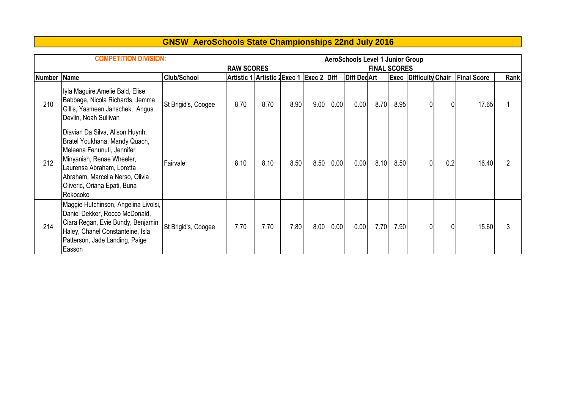|               | <b>COMPETITION DIVISION:</b>                                                                                                                                                                                                            |                     |                                          |      |      |      |      | <b>AeroSchools Level 1 Junior Group</b> |                     |      |                              |                |                    |      |
|---------------|-----------------------------------------------------------------------------------------------------------------------------------------------------------------------------------------------------------------------------------------|---------------------|------------------------------------------|------|------|------|------|-----------------------------------------|---------------------|------|------------------------------|----------------|--------------------|------|
|               |                                                                                                                                                                                                                                         |                     | <b>RAW SCORES</b>                        |      |      |      |      |                                         | <b>FINAL SCORES</b> |      |                              |                |                    |      |
| <b>Number</b> | <b>Name</b>                                                                                                                                                                                                                             | <b>Club/School</b>  | Artistic 1 Artistic 1 Exec 1 Exec 2 Diff |      |      |      |      | <b>Diff Ded Art</b>                     |                     |      | <b>Exec Difficulty Chair</b> |                | <b>Final Score</b> | Rank |
| 210           | Iyla Maguire, Amelie Bald, Elise<br>Babbage, Nicola Richards, Jemma<br>Gillis, Yasmeen Janschek, Angus<br>Devlin, Noah Sullivan                                                                                                         | St Brigid's, Coogee | 8.70                                     | 8.70 | 8.90 | 9.00 | 0.00 | 0.00                                    | 8.70                | 8.95 |                              | $\Omega$       | 17.65              |      |
| 212           | Diavian Da Silva, Alison Huynh,<br>Bratel Youkhana, Mandy Quach,<br>Meleana Fenunuti, Jennifer<br>Minyanish, Renae Wheeler,<br>Laurensa Abraham, Loretta<br>Abraham, Marcella Nerso, Olivia<br>Oliveric, Oriana Epati, Buna<br>Rokocoko | Fairvale            | 8.10                                     | 8.10 | 8.50 | 8.50 | 0.00 | 0.00                                    | 8.10                | 8.50 | 0                            | 0.2            | 16.40              |      |
| 214           | Maggie Hutchinson, Angelina Livolsi,<br>Daniel Dekker, Rocco McDonald,<br>Ciara Regan, Evie Bundy, Benjamin<br>Haley, Chanel Constanteine, Isla<br>Patterson, Jade Landing, Paige<br>Easson                                             | St Brigid's, Coogee | 7.70                                     | 7.70 | 7.80 | 8.00 | 0.00 | 0.00                                    | 7.70                | 7.90 | 0                            | $\overline{0}$ | 15.60              |      |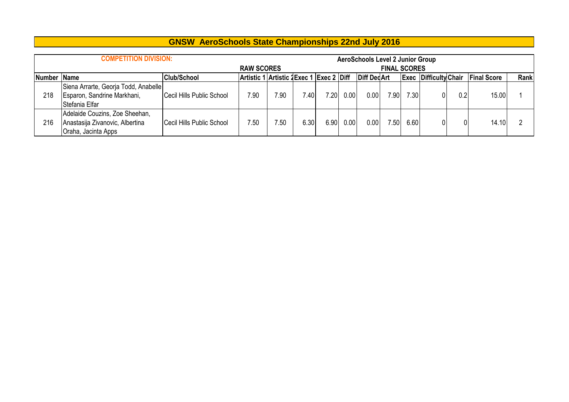|             | <b>COMPETITION DIVISION:</b>                                                             |                           |                                          |      |      |      |      | <b>AeroSchools Level 2 Junior Group</b> |                     |      |                              |     |                    |      |
|-------------|------------------------------------------------------------------------------------------|---------------------------|------------------------------------------|------|------|------|------|-----------------------------------------|---------------------|------|------------------------------|-----|--------------------|------|
|             |                                                                                          |                           | <b>RAW SCORES</b>                        |      |      |      |      |                                         | <b>FINAL SCORES</b> |      |                              |     |                    |      |
| Number Name |                                                                                          | <b>Club/School</b>        | Artistic 1 Artistic 2 Exec 1 Exec 2 Diff |      |      |      |      | <b>Diff Ded Art</b>                     |                     |      | <b>Exec Difficulty Chair</b> |     | <b>Final Score</b> | Rank |
| 218         | Siena Arrarte, Georja Todd, Anabelle<br>Esparon, Sandrine Markhani,<br>Stefania Elfar    | Cecil Hills Public School | 7.90                                     | 7.90 | .40  | 7.20 | 0.00 | 0.00                                    | 7.90                | 7.30 |                              | 0.2 | 15.00              |      |
| 216         | Adelaide Couzins, Zoe Sheehan,<br>Anastasija Zivanovic, Albertina<br>Oraha, Jacinta Apps | Cecil Hills Public School | 7.50                                     | 7.50 | 6.30 | 6.90 | 0.00 | 0.00                                    | .50 <sub>1</sub>    | 6.60 |                              | 0   | 14.10              |      |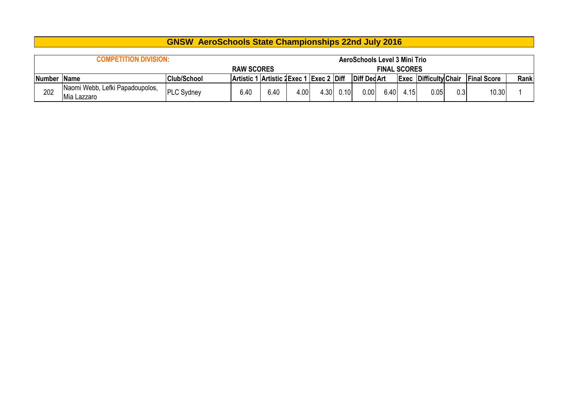|             | <b>COMPETITION DIVISION:</b>    |                    |                                     |      |      |                          |      | <b>AeroSchools Level 3 Mini Trio</b> |                     |      |                              |     |                    |      |
|-------------|---------------------------------|--------------------|-------------------------------------|------|------|--------------------------|------|--------------------------------------|---------------------|------|------------------------------|-----|--------------------|------|
|             |                                 |                    | <b>RAW SCORES</b>                   |      |      |                          |      |                                      | <b>FINAL SCORES</b> |      |                              |     |                    |      |
| Number Name |                                 | <b>Club/School</b> | <b>Artistic 1 Artistic 2 Exec 1</b> |      |      | <sup>1</sup> Exec 2 Diff |      | Diff Ded Art                         |                     |      | <b>Exec Difficulty Chair</b> |     | <b>Final Score</b> | Rank |
| 202         | Naomi Webb, Lefki Papadoupolos, | <b>PLC Sydney</b>  | 6.40                                | 6.40 | 4.00 | 4.30                     | 0.10 | $0.00$ $\mid$                        | 6.40                | 4.15 | 0.05                         | 0.3 | 10.30              |      |
|             | Mia Lazzaro                     |                    |                                     |      |      |                          |      |                                      |                     |      |                              |     |                    |      |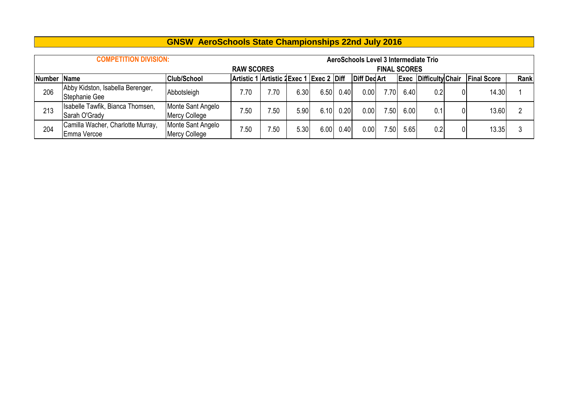|        | <b>COMPETITION DIVISION:</b>                      |                                           |                                         |     |      |      |      | AeroSchools Level 3 Intermediate Trio |                     |      |                              |    |                    |      |
|--------|---------------------------------------------------|-------------------------------------------|-----------------------------------------|-----|------|------|------|---------------------------------------|---------------------|------|------------------------------|----|--------------------|------|
|        |                                                   |                                           | <b>RAW SCORES</b>                       |     |      |      |      |                                       | <b>FINAL SCORES</b> |      |                              |    |                    |      |
| Number | <b>Name</b>                                       | <b>Club/School</b>                        | Artistic 1 Artistic 2Exec 1 Exec 2 Diff |     |      |      |      | <b>Diff DedArt</b>                    |                     |      | <b>Exec Difficulty Chair</b> |    | <b>Final Score</b> | Rank |
| 206    | Abby Kidston, Isabella Berenger,<br>Stephanie Gee | Abbotsleigh                               | 7.70                                    | .70 | 6.30 | 6.50 | 0.40 | 0.00                                  | 7.70                | 6.40 | 0.2                          | 01 | 14.30              |      |
| 213    | Isabelle Tawfik, Bianca Thomsen,<br>Sarah O'Grady | Monte Sant Angelo<br><b>Mercy College</b> | 7.50                                    | .50 | 5.90 | 6.10 | 0.20 | 0.00                                  | 7.50                | 6.00 | 0.1                          | 01 | 13.60              |      |
| 204    | Camilla Wacher, Charlotte Murray,<br>Emma Vercoe  | Monte Sant Angelo<br><b>Mercy College</b> | 7.50                                    | .50 | 5.30 | 6.00 | 0.40 | 0.00                                  | 7.50                | 5.65 | 0.2                          | 01 | 13.35              |      |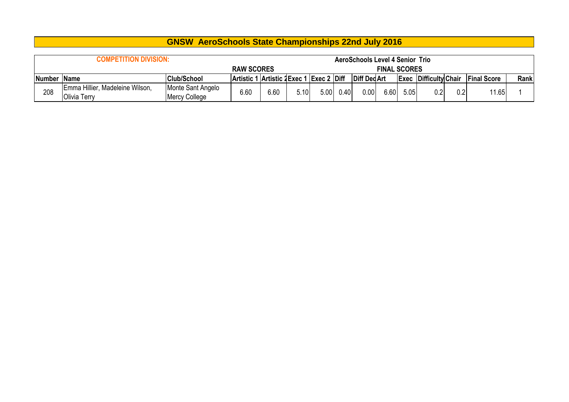|             | <b>COMPETITION DIVISION:</b>                    |                                    |                                         |      |      |      |      | <b>AeroSchools Level 4 Senior Trio</b> |                     |      |                              |     |                    |      |
|-------------|-------------------------------------------------|------------------------------------|-----------------------------------------|------|------|------|------|----------------------------------------|---------------------|------|------------------------------|-----|--------------------|------|
|             |                                                 |                                    | <b>RAW SCORES</b>                       |      |      |      |      |                                        | <b>FINAL SCORES</b> |      |                              |     |                    |      |
| Number Name |                                                 | Club/School                        | Artistic 1 Artistic 2Exec 1 Exec 2 Diff |      |      |      |      | Diff Ded Art                           |                     |      | <b>Exec Difficulty Chair</b> |     | <b>Final Score</b> | Rank |
| 208         | Emma Hillier, Madeleine Wilson,<br>Olivia Terry | Monte Sant Angelo<br>Mercy College | 6.60                                    | 6.60 | 5.10 | 5.00 | 0.40 | 0.00                                   | 6.60                | 5.05 | 0.2                          | 0.2 | 11.65              |      |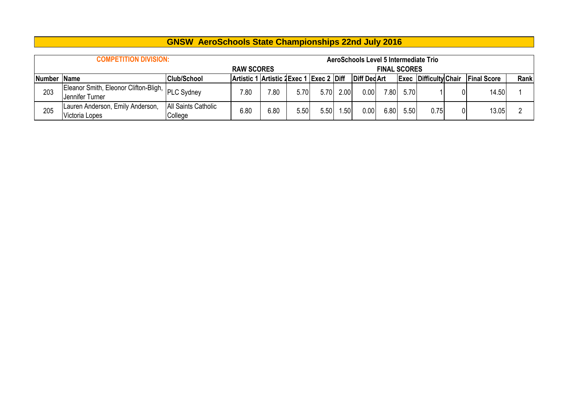|             | <b>COMPETITION DIVISION:</b>                                        |                                |                                         |      |      |      |      | AeroSchools Level 5 Intermediate Trio |                     |      |                              |   |                    |      |
|-------------|---------------------------------------------------------------------|--------------------------------|-----------------------------------------|------|------|------|------|---------------------------------------|---------------------|------|------------------------------|---|--------------------|------|
|             |                                                                     |                                | <b>RAW SCORES</b>                       |      |      |      |      |                                       | <b>FINAL SCORES</b> |      |                              |   |                    |      |
| Number Name |                                                                     | <b>Club/School</b>             | Artistic 1 Artistic 2Exec 1 Exec 2 Diff |      |      |      |      | <b>Diff DedArt</b>                    |                     |      | <b>Exec Difficulty Chair</b> |   | <b>Final Score</b> | Rank |
| 203         | Eleanor Smith, Eleonor Clifton-Bligh, PLC Sydney<br>Jennifer Turner |                                | 7.80                                    | 7.80 | 5.70 | 5.70 | 2.00 | 0.00                                  | 7.80                | 5.70 |                              |   | 14.50              |      |
| 205         | Lauren Anderson, Emily Anderson,<br>Victoria Lopes                  | All Saints Catholic<br>College | 6.80                                    | 6.80 | 5.50 | 5.50 | .50  | 0.00                                  | 6.80                | 5.50 | 0.75                         | 0 | 13.05              |      |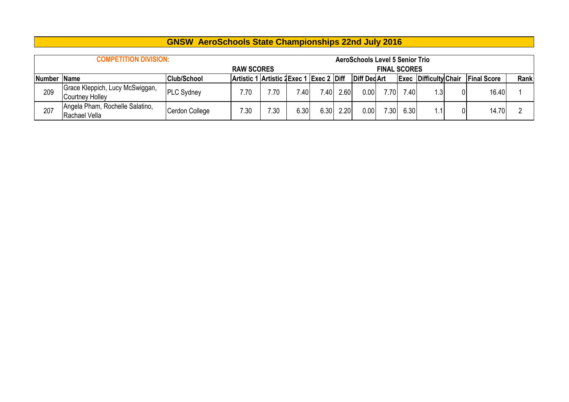|             | <b>COMPETITION DIVISION:</b>                       |                    |                                         |      |      |                   |      | <b>AeroSchools Level 5 Senior Trio</b> |                     |      |                              |                    |      |
|-------------|----------------------------------------------------|--------------------|-----------------------------------------|------|------|-------------------|------|----------------------------------------|---------------------|------|------------------------------|--------------------|------|
|             |                                                    |                    | <b>RAW SCORES</b>                       |      |      |                   |      |                                        | <b>FINAL SCORES</b> |      |                              |                    |      |
| Number Name |                                                    | <b>Club/School</b> | Artistic 1 Artistic 2Exec 1 Exec 2 Diff |      |      |                   |      | <b>Diff DedArt</b>                     |                     |      | <b>Exec Difficulty Chair</b> | <b>Final Score</b> | Rank |
| 209         | Grace Kleppich, Lucy McSwiggan,<br>Courtney Holley | <b>PLC Sydney</b>  | 7.70                                    | 7.70 | .40  | 740               | 2.60 | 0.00                                   | 7.70                | 7.40 | 1.3                          | 16.40              |      |
| 207         | Angela Pham, Rochelle Salatino,<br>Rachael Vella   | Cerdon College     | 7.30                                    | 7.30 | 6.30 | 6.30 <sub>1</sub> | 2.20 | 0.00                                   | 7.30                | 6.30 | 1.1                          | 14.70              |      |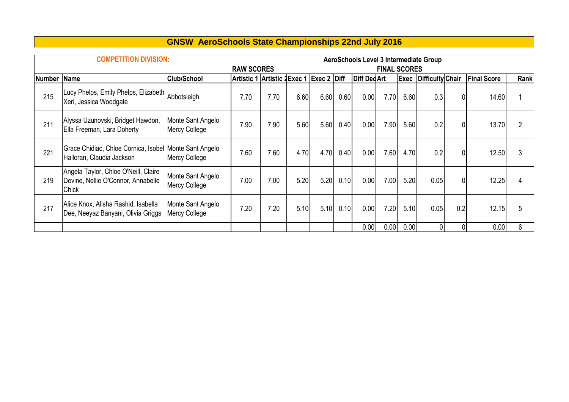|  | <b>GNSW AeroSchools State Championships 22nd July 2016</b> |  |  |
|--|------------------------------------------------------------|--|--|
|--|------------------------------------------------------------|--|--|

|               | <b>COMPETITION DIVISION:</b>                                                               |                                    |                             |      |      |               |      |                    |                     |             | <b>AeroSchools Level 3 Intermediate Group</b> |                |                    |                |
|---------------|--------------------------------------------------------------------------------------------|------------------------------------|-----------------------------|------|------|---------------|------|--------------------|---------------------|-------------|-----------------------------------------------|----------------|--------------------|----------------|
|               |                                                                                            |                                    | <b>RAW SCORES</b>           |      |      |               |      |                    | <b>FINAL SCORES</b> |             |                                               |                |                    |                |
| <b>Number</b> | Name                                                                                       | <b>Club/School</b>                 | Artistic 1 Artistic 2Exec 1 |      |      | $Exec 2$ Diff |      | <b>Diff DedArt</b> |                     | <b>Exec</b> | Difficulty Chair                              |                | <b>Final Score</b> | Rank           |
| 215           | Lucy Phelps, Emily Phelps, Elizabeth<br>Xeri, Jessica Woodgate                             | Abbotsleigh                        | 7.70                        | 7.70 | 6.60 | 6.60          | 0.60 | 0.00               | 7.70                | 6.60        | 0.3                                           | $\overline{0}$ | 14.60              | 1              |
| 211           | Alyssa Uzunovski, Bridget Hawdon,<br>Ella Freeman, Lara Doherty                            | Monte Sant Angelo<br>Mercy College | 7.90                        | 7.90 | 5.60 | 5.60          | 0.40 | 0.00               | 7.90                | 5.60        | 0.2                                           | $\overline{0}$ | 13.70              | $\overline{2}$ |
| 221           | Grace Chidiac, Chloe Cornica, Isobel Monte Sant Angelo<br>Halloran, Claudia Jackson        | <b>Mercy College</b>               | 7.60                        | 7.60 | 4.70 | 4.70          | 0.40 | 0.00               | 7.60                | 4.70        | 0.2                                           | $\overline{0}$ | 12.50              | 3              |
| 219           | Angela Taylor, Chloe O'Neill, Claire<br>Devine, Nellie O'Connor, Annabelle<br><b>Chick</b> | Monte Sant Angelo<br>Mercy College | 7.00                        | 7.00 | 5.20 | 5.20          | 0.10 | 0.00               | 7.00                | 5.20        | 0.05                                          | $\overline{0}$ | 12.25              | 4              |
| 217           | Alice Knox, Alisha Rashid, Isabella<br>Dee, Neeyaz Banyani, Olivia Griggs                  | Monte Sant Angelo<br>Mercy College | 7.20                        | 7.20 | 5.10 | 5.10          | 0.10 | 0.00               | 7.20                | 5.10        | 0.05                                          | 0.2            | 12.15              | 5              |
|               |                                                                                            |                                    |                             |      |      |               |      | 0.00               | 0.00                | 0.00        |                                               | $\Omega$       | 0.00               | 6              |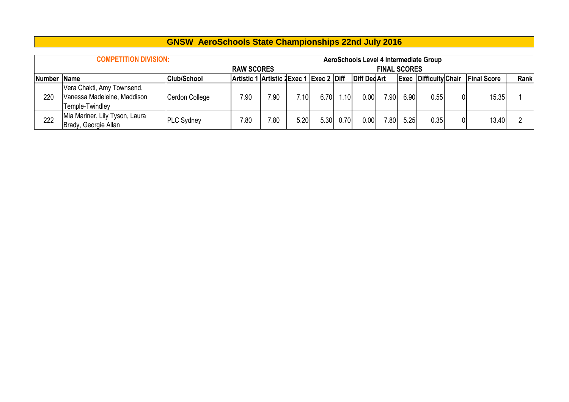|     | <b>COMPETITION DIVISION:</b>                                                 |                   |                   |      |                 |      |      |                    |                     |      | AeroSchools Level 4 Intermediate Group |          |                    |      |
|-----|------------------------------------------------------------------------------|-------------------|-------------------|------|-----------------|------|------|--------------------|---------------------|------|----------------------------------------|----------|--------------------|------|
|     |                                                                              |                   | <b>RAW SCORES</b> |      |                 |      |      |                    | <b>FINAL SCORES</b> |      |                                        |          |                    |      |
|     | Artistic 1 Artistic 2Exec 1 Exec 2 Diff<br><b>Club/School</b><br>Number Name |                   |                   |      |                 |      |      | <b>Diff DedArt</b> |                     |      | <b>Exec Difficulty Chair</b>           |          | <b>Final Score</b> | Rank |
| 220 | Vera Chakti, Amy Townsend,<br>Vanessa Madeleine, Maddison<br>Temple-Twindley | Cerdon College    | 7.90              | 7.90 | $^{\prime}$ .10 | 6.70 | 1.10 | 0.00 <sub>1</sub>  | 7.90                | 6.90 | 0.55                                   | $\Omega$ | 15.35              |      |
| 222 | Mia Mariner, Lily Tyson, Laura<br>Brady, Georgie Allan                       | <b>PLC Sydney</b> | 7.80              | .80  | 5.20            | 5.30 | 0.70 | 0.00               | 7.80 <sub>1</sub>   | 5.25 | 0.35                                   | 0        | 13.40              |      |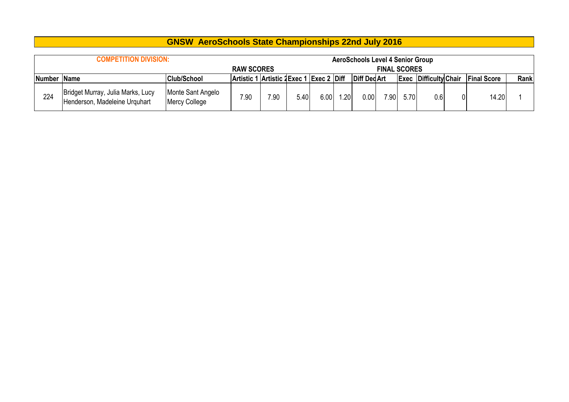|        | <b>COMPETITION DIVISION:</b>                                       |                                    |                                         |      |      |      |     | <b>AeroSchools Level 4 Senior Group</b> |                     |      |                              |                    |      |
|--------|--------------------------------------------------------------------|------------------------------------|-----------------------------------------|------|------|------|-----|-----------------------------------------|---------------------|------|------------------------------|--------------------|------|
|        |                                                                    |                                    | <b>RAW SCORES</b>                       |      |      |      |     |                                         | <b>FINAL SCORES</b> |      |                              |                    |      |
| Number | <b>Name</b>                                                        | <b>Club/School</b>                 | Artistic 1 Artistic 2Exec 1 Exec 2 Diff |      |      |      |     | Diff Ded Art                            |                     |      | <b>Exec Difficulty Chair</b> | <b>Final Score</b> | Rank |
| 224    | Bridget Murray, Julia Marks, Lucy<br>Henderson, Madeleine Urguhart | Monte Sant Angelo<br>Mercy College | 7.90                                    | 7.90 | 5.40 | 6.00 | .20 | 0.00                                    | 7.90                | 5.70 | 0.6                          | 14.20              |      |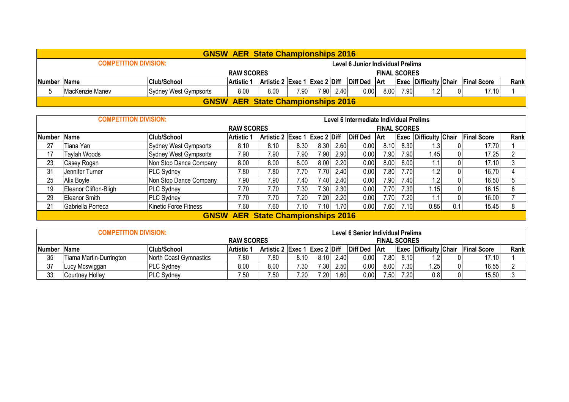|                                                                                                                                                                    |                       | <b>GNSW AER State Championships 2016</b> |      |      |  |           |                                   |      |      |    |  |       |  |
|--------------------------------------------------------------------------------------------------------------------------------------------------------------------|-----------------------|------------------------------------------|------|------|--|-----------|-----------------------------------|------|------|----|--|-------|--|
| <b>COMPETITION DIVISION:</b>                                                                                                                                       |                       |                                          |      |      |  |           | Level 6 Junior Individual Prelims |      |      |    |  |       |  |
| <b>RAW SCORES</b><br><b>FINAL SCORES</b>                                                                                                                           |                       |                                          |      |      |  |           |                                   |      |      |    |  |       |  |
| Artistic 2 Exec 1 Exec 2 Diff Diff Ded Art<br>Rank<br>Number Name<br><b>Club/School</b><br><b>Artistic 1</b><br><b>Exec Difficulty Chair</b><br><b>Final Score</b> |                       |                                          |      |      |  |           |                                   |      |      |    |  |       |  |
| <b>IMacKenzie Manev</b>                                                                                                                                            | Sydney West Gympsorts | 8.00                                     | 8.00 | 7.90 |  | 7.90 2.40 | 0.00                              | 8.00 | 7.90 | .2 |  | 17.10 |  |
|                                                                                                                                                                    |                       | <b>GNSW AER State Championships 2016</b> |      |      |  |           |                                   |      |      |    |  |       |  |

|             | <b>COMPETITION DIVISION:</b> |                        |                                          |                               |      |      |      | Level 6 Intermediate Individual Prelims |                     |       |                              |       |                    |      |
|-------------|------------------------------|------------------------|------------------------------------------|-------------------------------|------|------|------|-----------------------------------------|---------------------|-------|------------------------------|-------|--------------------|------|
|             |                              |                        | <b>RAW SCORES</b>                        |                               |      |      |      |                                         | <b>FINAL SCORES</b> |       |                              |       |                    |      |
| Number Name |                              | <b>Club/School</b>     | <b>Artistic 1</b>                        | Artistic 2 Exec 1 Exec 2 Diff |      |      |      | <b>Diff Ded</b>                         | ∣Art                |       | <b>Exec Difficulty Chair</b> |       | <b>Final Score</b> | Rank |
| 27          | Tiana Yan                    | Sydney West Gympsorts  | 8.10                                     | 8.10                          | 8.30 | 8.30 | 2.60 | 0.00                                    | 8.10                | 8.30  | .3 <sup>1</sup>              |       | 17.70              |      |
| 17          | Taylah Woods                 | Sydney West Gympsorts  | 7.90                                     | 7.90                          | 7.90 | 7.90 | 2.90 | 0.00                                    | 7.90 <sub>1</sub>   | 7.90  | 1.45                         |       | 17.25              | n    |
| 23          | Casey Rogan                  | 8.00                   | 8.00                                     | 0.8                           | 8.00 | 2.20 | 0.00 | 8.00                                    | 8.00                |       |                              | 17.10 |                    |      |
| 31          | Jennifer Turner              | <b>PLC Sydney</b>      | 7.80                                     | 7.80                          | 7.70 | 7.70 | 2.40 | 0.00                                    | 7.80                | 7.70  | $\cdot$                      |       | 16.70              |      |
| 25          | Alix Boyle                   | Non Stop Dance Company | 7.90                                     | 7.90                          | 7.40 | 7.40 | 2.40 | 0.00                                    | 7.90                | 7.40  | $\overline{2}$               |       | 16.50              |      |
| 19          | Eleanor Clifton-Bligh        | <b>PLC Sydney</b>      | 7.70                                     | 7.70                          | 7.30 | 7.30 | 2.30 | 0.00                                    | 7.70                | 7.30  | 1.15                         |       | 16.15              |      |
| 29          | <b>Eleanor Smith</b>         | <b>PLC Sydney</b>      | 7.70                                     | 7.70                          | 7.20 | 7.20 | 2.20 | 0.00                                    | 7.70                | 7.201 |                              |       | 16.00              |      |
| 21          | Gabriella Porreca            | Kinetic Force Fitness  | 7.60                                     | 7.60                          | 7.10 | .101 | 1.70 | 0.00                                    | 7.60                | 7.10  | 0.85                         | 0.1   | 15.45              | 8    |
|             |                              |                        | <b>GNSW AER State Championships 2016</b> |                               |      |      |      |                                         |                     |       |                              |       |                    |      |

|             | COMPETITION DIVISION:           |                        |                   |                                               |      |      |                  | Level 6 Senior Individual Prelims |                     |      |                              |                    |      |
|-------------|---------------------------------|------------------------|-------------------|-----------------------------------------------|------|------|------------------|-----------------------------------|---------------------|------|------------------------------|--------------------|------|
|             |                                 |                        | <b>RAW SCORES</b> |                                               |      |      |                  |                                   | <b>FINAL SCORES</b> |      |                              |                    |      |
| Number Name |                                 | <b>Club/School</b>     | <b>Artistic 1</b> | $ $ Artistic 2 $ $ Exec 1 $ $ Exec 2 $ $ Diff |      |      |                  | Diff Ded                          | ⊺Art                |      | <b>Exec Difficulty Chair</b> | <b>Final Score</b> | Rank |
| 35          | <b>Fiarna Martin-Durrington</b> | North Coast Gymnastics | 7.80              | 7.80                                          | 8.10 | 8.10 | 2.40             | 0.00                              | 7.80                | 8.10 | ופ                           | 17.10              |      |
| 37          | Lucy Mcswiggan                  | <b>PLC Sydney</b>      | 8.00              | 8.00                                          | 7.30 | 7.30 | 2.50             | 0.00                              | 8.00                | 7.30 | .25                          | 16.55              |      |
| 33          | Courtney Holley                 | <b>PLC Sydney</b>      | 7.50              | 7.50                                          | 7.20 | 7.20 | .60 <sub>1</sub> | 0.00                              | 7.50                | 7.20 | 0.8                          | 15.50              |      |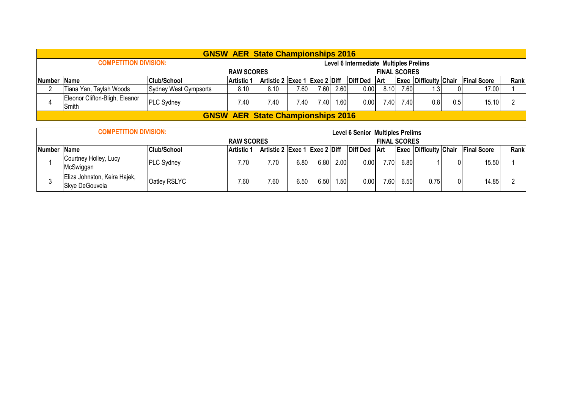|   |                                                                                                                                                                                       |                       | <b>GNSW AER State Championships 2016</b> |      |       |       |      |                                        |                     |      |             |     |       |  |
|---|---------------------------------------------------------------------------------------------------------------------------------------------------------------------------------------|-----------------------|------------------------------------------|------|-------|-------|------|----------------------------------------|---------------------|------|-------------|-----|-------|--|
|   | <b>COMPETITION DIVISION:</b>                                                                                                                                                          |                       |                                          |      |       |       |      | Level 6 Intermediate Multiples Prelims |                     |      |             |     |       |  |
|   |                                                                                                                                                                                       |                       | <b>RAW SCORES</b>                        |      |       |       |      |                                        | <b>FINAL SCORES</b> |      |             |     |       |  |
|   | $ $ Artistic 2 $ $ Exec 1 $ $ Exec 2 $ $ Diff<br><b>Club/School</b><br>Diff Ded Art<br>Rank<br><b>Exec Difficulty Chair</b><br><b>Final Score</b><br>Number Name<br><b>Artistic 1</b> |                       |                                          |      |       |       |      |                                        |                     |      |             |     |       |  |
| n | Tiana Yan, Taylah Woods                                                                                                                                                               | Sydney West Gympsorts | 8.10                                     | 8.10 | 7.601 | 7.60  | 2.60 | 0.00                                   | 8.10                | 7.60 | $3^{\circ}$ |     | 17.00 |  |
|   | Eleonor Clifton-Bligh, Eleanor<br>Smith                                                                                                                                               | <b>PLC Sydney</b>     | 7.40                                     | 7.40 | 7.401 | 7.401 | 1.60 | 0.00                                   | 7.40                | 7.40 | 0.8         | 0.5 | 15.10 |  |
|   |                                                                                                                                                                                       |                       | <b>GNSW AER State Championships 2016</b> |      |       |       |      |                                        |                     |      |             |     |       |  |

|             | <b>COMPETITION DIVISION:</b>                   |                    |                   |                                           |      |      |                  | <b>Level 6 Senior Multiples Prelims</b> |                     |      |                              |                    |      |
|-------------|------------------------------------------------|--------------------|-------------------|-------------------------------------------|------|------|------------------|-----------------------------------------|---------------------|------|------------------------------|--------------------|------|
|             |                                                |                    | <b>RAW SCORES</b> |                                           |      |      |                  |                                         | <b>FINAL SCORES</b> |      |                              |                    |      |
| Number Name |                                                | <b>Club/School</b> | <b>Artistic 1</b> | $ $ Artistic 2 $ $ Exec 1 $ $ Exec 2 Diff |      |      |                  | Diff Ded Art                            |                     |      | <b>Exec Difficulty Chair</b> | <b>Final Score</b> | Rank |
|             | Courtney Holley, Lucy<br>McSwiggan             | <b>PLC Sydney</b>  | 7.70              | 7.70                                      | 6.80 | 6.80 | 2.00             | 0.00                                    | 7.70                | 6.80 |                              | 15.50              |      |
|             | Eliza Johnston, Keira Hajek,<br>Skye DeGouveia | Oatley RSLYC       | 7.60              | 7.60                                      | 6.50 | 6.50 | .50 <sub>1</sub> | 0.00                                    | 7.60                | 6.50 | 0.75                         | 14.85              |      |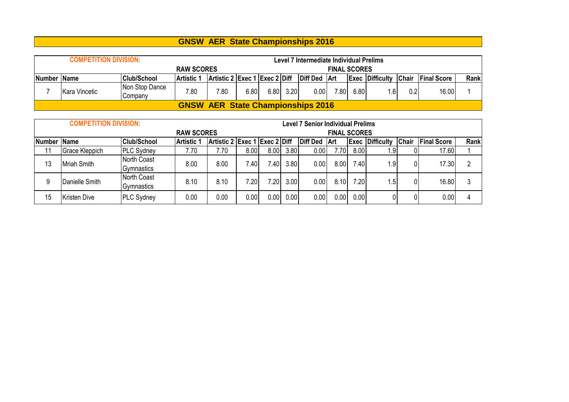| <b>COMPETITION DIVISION:</b>                                                          |                           |                   |                                          |      |      |      | Level 7 Intermediate Individual Prelims |                     |      |                              |     |                    |      |
|---------------------------------------------------------------------------------------|---------------------------|-------------------|------------------------------------------|------|------|------|-----------------------------------------|---------------------|------|------------------------------|-----|--------------------|------|
|                                                                                       |                           | <b>RAW SCORES</b> |                                          |      |      |      |                                         | <b>FINAL SCORES</b> |      |                              |     |                    |      |
| Artistic 2 Exec 1 Exec 2 Diff<br> Club/School<br>Number Name<br>Artistic <sup>1</sup> |                           |                   |                                          |      |      |      | Diff Ded Art                            |                     |      | <b>Exec Difficulty Chair</b> |     | <b>Final Score</b> | Rank |
| Kara Vincetic                                                                         | Non Stop Dance<br>Company | 7.80              | 7.80                                     | 6.80 | 6.80 | 3.20 | 0.00                                    | 7.80.               | 6.80 | .6                           | 0.2 | 16.00              |      |
|                                                                                       |                           |                   | <b>GNSW AER State Championships 2016</b> |      |      |      |                                         |                     |      |                              |     |                    |      |

|               | <b>COMPETITION DIVISION:</b> |                           |                   |                               |       |       |      | <b>Level 7 Senior Individual Prelims</b> |                     |       |                        |       |                    |      |
|---------------|------------------------------|---------------------------|-------------------|-------------------------------|-------|-------|------|------------------------------------------|---------------------|-------|------------------------|-------|--------------------|------|
|               |                              |                           | <b>RAW SCORES</b> |                               |       |       |      |                                          | <b>FINAL SCORES</b> |       |                        |       |                    |      |
| <b>Number</b> | <b>Name</b>                  | <b>Club/School</b>        | <b>Artistic 1</b> | Artistic 2 Exec 1 Exec 2 Diff |       |       |      | <b>Diff Ded</b>                          | <b>Art</b>          |       | <b>Exec Difficulty</b> | Chair | <b>Final Score</b> | Rank |
| 11            | <b>Grace Kleppich</b>        | <b>PLC Sydney</b>         | 7.70              | 7.70                          | 8.00  | 8.00  | 3.80 | 0.00                                     | 7.70                | 8.00  | .9                     |       | 17.60              |      |
| 13            | Mriah Smith                  | North Coast<br>Gymnastics | 8.00              | 8.00                          | 7.40  | 7.401 | 3.80 | 0.00                                     | 8.00                | 7.40  | 1.9                    |       | 17.30              | റ    |
| 9             | Danielle Smith               | North Coast<br>Gymnastics | 8.10              | 8.10                          | 7.201 | 7.20  | 3.00 | 0.00                                     | 8.10                | 7.201 | $.5\,$                 |       | 16.80              |      |
| 15            | Kristen Dive                 | <b>PLC Sydney</b>         | 0.00              | 0.00                          | 0.00  | 0.00  | 0.00 | 0.00                                     | 0.00                | 0.00  | $\overline{0}$         |       | 0.00               | 4    |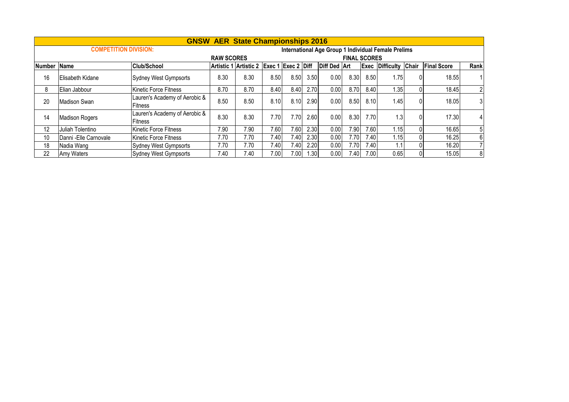|               |                              |                                                 |                   | <b>GNSW AER State Championships 2016</b> |                   |      |      |              |                     |      |                                                     |       |                    |                |
|---------------|------------------------------|-------------------------------------------------|-------------------|------------------------------------------|-------------------|------|------|--------------|---------------------|------|-----------------------------------------------------|-------|--------------------|----------------|
|               | <b>COMPETITION DIVISION:</b> |                                                 |                   |                                          |                   |      |      |              |                     |      | International Age Group 1 Individual Female Prelims |       |                    |                |
|               |                              |                                                 | <b>RAW SCORES</b> |                                          |                   |      |      |              | <b>FINAL SCORES</b> |      |                                                     |       |                    |                |
| <b>Number</b> | <b>Name</b>                  | <b>Club/School</b>                              |                   | Artistic 1 Artistic 2 Exec 1 Exec 2 Diff |                   |      |      | Diff Ded Art |                     |      | <b>Exec Difficulty</b>                              | Chair | <b>Final Score</b> | Rank           |
| 16            | Elisabeth Kidane             | Sydney West Gympsorts                           | 8.30              | 8.30                                     | 8.50              | 8.50 | 3.50 | 0.00         | 8.30                | 8.50 | 1.75                                                |       | 18.55              |                |
| 8             | Elian Jabbour                | <b>Kinetic Force Fitness</b>                    | 8.70              | 8.70                                     | 8.40              | 8.40 | 2.70 | 0.00         | 8.70                | 8.40 | 1.35                                                |       | 18.45              | $\overline{2}$ |
| 20            | Madison Swan                 | Lauren's Academy of Aerobic &<br><b>Fitness</b> | 8.50              | 8.50                                     | 8.10              | 8.10 | 2.90 | 0.00         | 8.50                | 8.10 | 1.45                                                |       | 18.05              | 3              |
| 14            | <b>Madison Rogers</b>        | Lauren's Academy of Aerobic &<br>Fitness        | 8.30              | 8.30                                     | 7.70I             | 7.70 | 2.60 | 0.00         | 8.30                | 7.70 | 1.3                                                 |       | 17.30              | $\overline{4}$ |
| 12            | Juliah Tolentino             | Kinetic Force Fitness                           | 7.90              | 7.90                                     | 7.60              | 7.60 | 2.30 | 0.00         | 7.90                | 7.60 | 1.15                                                |       | 16.65              | 5              |
| 10            | Danni - Elle Carnovale       | Kinetic Force Fitness                           | 7.70              | 7.70                                     | 7.40 <sub>1</sub> | 7.40 | 2.30 | 0.00         | 7.70                | 7.40 | 1.15                                                |       | 16.25              | 6              |
| 18            | Nadia Wang                   | Sydney West Gympsorts                           | 7.70              | 7.70                                     | 7.40              | 7.40 | 2.20 | 0.00         | 7.70                | 7.40 | 1.1                                                 |       | 16.20              | $\overline{7}$ |
| 22            | Amy Waters                   | Sydney West Gympsorts                           | 7.40              | 7.40                                     | 7.00 <sub>1</sub> | 7.00 | 1.30 | 0.00         | 7.40                | 7.00 | 0.65                                                |       | 15.05              | 8              |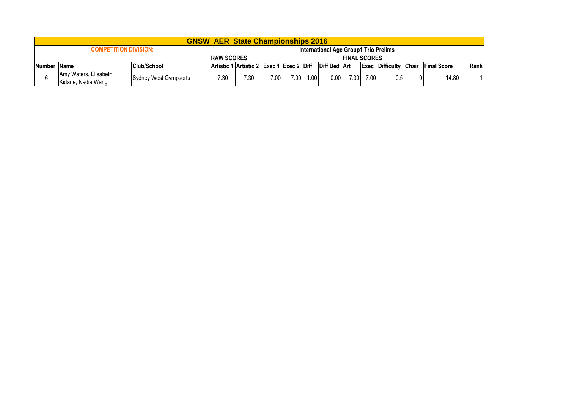|             |                                             |                       |                   | <b>GNSW AER State Championships 2016</b> |      |      |      |                                       |                     |      |                              |                     |      |
|-------------|---------------------------------------------|-----------------------|-------------------|------------------------------------------|------|------|------|---------------------------------------|---------------------|------|------------------------------|---------------------|------|
|             | <b>COMPETITION DIVISION:</b>                |                       |                   |                                          |      |      |      | International Age Group1 Trio Prelims |                     |      |                              |                     |      |
|             |                                             |                       | <b>RAW SCORES</b> |                                          |      |      |      |                                       | <b>FINAL SCORES</b> |      |                              |                     |      |
| Number Name |                                             | <b>Club/School</b>    |                   | Artistic 1 Artistic 2 Exec 1 Exec 2 Diff |      |      |      | <b>Diff Ded   Art</b>                 |                     |      | <b>Exec Difficulty Chair</b> | <b>IFinal Score</b> | Rank |
| 6           | Amy Waters, Elisabeth<br>Kidane, Nadia Wang | Sydney West Gympsorts | 7.30              | 7.30                                     | 7.00 | 7.00 | 1.00 | 0.001                                 | 7.30                | 7.00 | 0.5                          | 14.80               |      |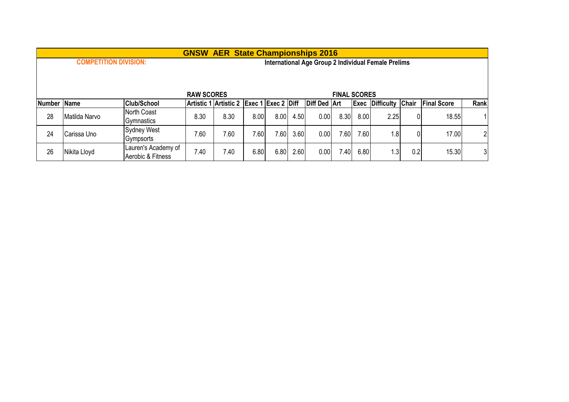|               |                                                            |                     |                   | <b>GNSW AER State Championships 2016</b> |      |      |                      |              |                     |      |                                                     |     |                    |                |
|---------------|------------------------------------------------------------|---------------------|-------------------|------------------------------------------|------|------|----------------------|--------------|---------------------|------|-----------------------------------------------------|-----|--------------------|----------------|
|               | <b>COMPETITION DIVISION:</b>                               |                     |                   |                                          |      |      |                      |              |                     |      | International Age Group 2 Individual Female Prelims |     |                    |                |
|               |                                                            |                     |                   |                                          |      |      |                      |              |                     |      |                                                     |     |                    |                |
|               |                                                            |                     |                   |                                          |      |      |                      |              |                     |      |                                                     |     |                    |                |
|               |                                                            |                     | <b>RAW SCORES</b> |                                          |      |      |                      |              | <b>FINAL SCORES</b> |      |                                                     |     |                    |                |
| <b>Number</b> | <b>Club/School</b><br>Artistic 1 Artistic 2<br><b>Name</b> |                     |                   |                                          |      |      | $Exec 1$ Exec 2 Diff | Diff Ded Art |                     |      | <b>Exec Difficulty Chair</b>                        |     | <b>Final Score</b> | Rank           |
| 28            | Matilda Narvo                                              | North Coast         | 8.30              | 8.30                                     | 8.00 | 8.00 | 4.50                 | 0.00         | 8.30                | 8.00 | 2.25                                                | 0   | 18.55              |                |
|               |                                                            | Gymnastics          |                   |                                          |      |      |                      |              |                     |      |                                                     |     |                    |                |
| 24            | Carissa Uno                                                | <b>Sydney West</b>  | 7.60              | 7.60                                     | 7.60 | 7.60 | 3.60                 | 0.00         | .60                 | 7.60 | 1.8                                                 |     | 17.00              | 2 <sup>1</sup> |
|               |                                                            | Gympsorts           |                   |                                          |      |      |                      |              |                     |      |                                                     |     |                    |                |
| 26            | Nikita Lloyd                                               | Lauren's Academy of | 7.40              | 7.40                                     | 6.80 | 6.80 | 2.60                 | 0.00         | .40                 | 6.80 | 1.3                                                 | 0.2 | 15.30              | 31             |
|               |                                                            | Aerobic & Fitness   |                   |                                          |      |      |                      |              |                     |      |                                                     |     |                    |                |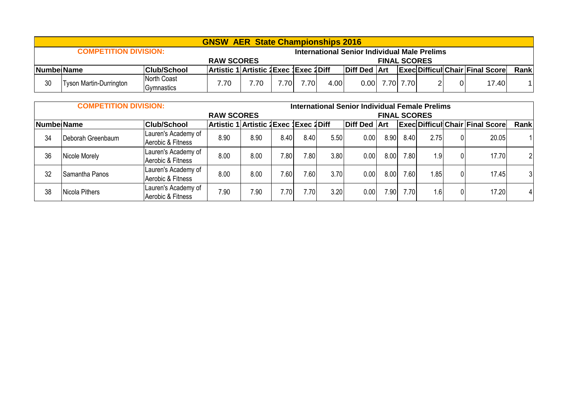|    |                                                                               |                           | <b>GNSW AER State Championships 2016</b> |      |      |      |      |                                              |                  |  |  |                                        |      |
|----|-------------------------------------------------------------------------------|---------------------------|------------------------------------------|------|------|------|------|----------------------------------------------|------------------|--|--|----------------------------------------|------|
|    | <b>COMPETITION DIVISION:</b>                                                  |                           |                                          |      |      |      |      | International Senior Individual Male Prelims |                  |  |  |                                        |      |
|    | <b>FINAL SCORES</b><br><b>RAW SCORES</b>                                      |                           |                                          |      |      |      |      |                                              |                  |  |  |                                        |      |
|    | Artistic 1 Artistic 1 Exec 1 Exec 1 Diff<br> Club/School<br><b>NumbelName</b> |                           |                                          |      |      |      |      | Diff Ded Art                                 |                  |  |  | <b>Exec Difficul Chair Final Score</b> | Rank |
| 30 | <b>Tyson Martin-Durrington</b>                                                | North Coast<br>Gymnastics | 7.70                                     | 7.70 | 7.70 | 7.70 | 4.00 |                                              | $0.00$ 7.70 7.70 |  |  | 17.40                                  |      |

|             | <b>COMPETITION DIVISION:</b> |                                          |                                       |      |      |      |      | <b>International Senior Individual Female Prelims</b> |                     |                   |      |    |                                        |      |
|-------------|------------------------------|------------------------------------------|---------------------------------------|------|------|------|------|-------------------------------------------------------|---------------------|-------------------|------|----|----------------------------------------|------|
|             |                              |                                          | <b>RAW SCORES</b>                     |      |      |      |      |                                                       | <b>FINAL SCORES</b> |                   |      |    |                                        |      |
| Numbel Name |                              | <b>Club/School</b>                       | Artistic 1 Artistic 1Exec 1Exec 1Diff |      |      |      |      | Diff Ded Art                                          |                     |                   |      |    | <b>Exec Difficul Chair Final Score</b> | Rank |
| 34          | Deborah Greenbaum            | Lauren's Academy of<br>Aerobic & Fitness | 8.90                                  | 8.90 | 8.40 | 8.40 | 5.50 | 0.00                                                  | 8.90                | 8.40              | 2.75 | 01 | 20.05                                  |      |
| 36          | Nicole Morely                | Lauren's Academy of<br>Aerobic & Fitness | 8.00                                  | 8.00 | 7.80 | 7.80 | 3.80 | 0.00                                                  | 8.00                | 7.80              | 1.9  | 01 | 17.70                                  | 21   |
| 32          | Samantha Panos               | Lauren's Academy of<br>Aerobic & Fitness | 8.00                                  | 8.00 | 7.60 | 7.60 | 3.70 | 0.00                                                  | 8.00                | 7.60 <sub>1</sub> | .85  | 01 | 17.45                                  | 3    |
| 38          | Nicola Pithers               | Lauren's Academy of<br>Aerobic & Fitness | 7.90                                  | 7.90 | 7.70 | 7.70 | 3.20 | 0.00                                                  | 7.90 <sub>1</sub>   | 7.70              | 1.6  | 01 | 17.20                                  | 4    |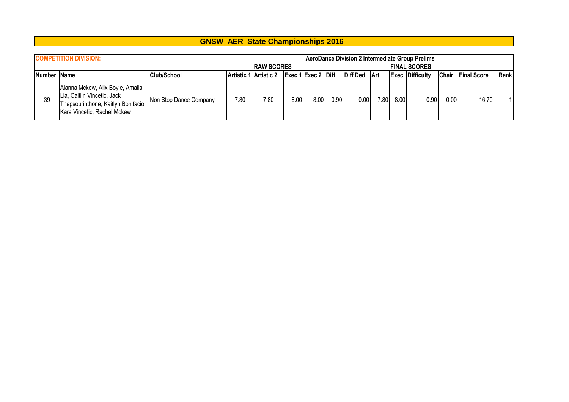|             |                                                                                                                                       |                        |                       | <b>GNSW AER State Championships 2016</b> |      |                    |          |                 |      |      |                                                                               |              |                    |      |
|-------------|---------------------------------------------------------------------------------------------------------------------------------------|------------------------|-----------------------|------------------------------------------|------|--------------------|----------|-----------------|------|------|-------------------------------------------------------------------------------|--------------|--------------------|------|
|             | <b>COMPETITION DIVISION:</b>                                                                                                          |                        |                       | <b>RAW SCORES</b>                        |      |                    |          |                 |      |      | <b>AeroDance Division 2 Intermediate Group Prelims</b><br><b>FINAL SCORES</b> |              |                    |      |
| Number Name |                                                                                                                                       | <b>Club/School</b>     | Artistic 1 Artistic 2 |                                          |      | Exec 1 Exec 2 Diff |          | <b>Diff Ded</b> | ∣Art |      | <b>Exec Difficulty</b>                                                        | <b>Chair</b> | <b>Final Score</b> | Rank |
| 39          | Alanna Mckew, Alix Boyle, Amalia<br>Lia, Caitlin Vincetic, Jack<br>Thepsourinthone, Kaitlyn Bonifacio,<br>Kara Vincetic, Rachel Mckew | Non Stop Dance Company | 7.80                  | 7.80                                     | 8.00 | 8.00               | $0.90\,$ | 0.00            | 7.80 | 8.00 | 0.90                                                                          | 0.00         | 16.70              |      |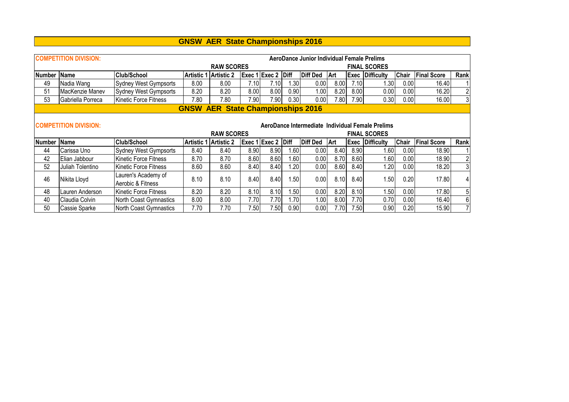|               | <b>COMPETITION DIVISION:</b>                     |                              |                   | AeroDance Junior Individual Female Prelims |                   |                    |      |          |            |      |                     |              |                    |                  |  |  |
|---------------|--------------------------------------------------|------------------------------|-------------------|--------------------------------------------|-------------------|--------------------|------|----------|------------|------|---------------------|--------------|--------------------|------------------|--|--|
|               |                                                  |                              |                   | <b>RAW SCORES</b>                          |                   |                    |      |          |            |      | <b>FINAL SCORES</b> |              |                    |                  |  |  |
| <b>Number</b> | <b>Name</b>                                      | <b>Club/School</b>           | <b>Artistic 1</b> | Artistic 2                                 |                   | Exec 1 Exec 2 Diff |      | Diff Ded | <b>Art</b> | Exec | Difficulty          | <b>Chair</b> | <b>Final Score</b> | Rank             |  |  |
| 49            | Nadia Wang                                       | <b>Sydney West Gympsorts</b> | 8.00              | 8.00                                       | 7.10              | 7.10               | 1.30 | 0.00     | 8.00       | 7.10 | 1.30                | 0.00         | 16.40              |                  |  |  |
| 51            | MacKenzie Manev                                  | Sydney West Gympsorts        | 8.20              | 8.20                                       | 8.00              | 8.00               | 0.90 | 1.001    | 8.20       | 8.00 | 0.00                | 0.00         | 16.20              | $\boldsymbol{2}$ |  |  |
| 53            | Gabriella Porreca                                | lKinetic Force Fitness       | 7.80              | 7.80                                       | 7.90              | 7.90               | 0.30 | 0.00     | 7.80       | 7.90 | 0.30                | 0.00         | 16.00              | 3 <sub>l</sub>   |  |  |
|               |                                                  |                              |                   | <b>GNSW AER State Championships 2016</b>   |                   |                    |      |          |            |      |                     |              |                    |                  |  |  |
|               |                                                  |                              |                   |                                            |                   |                    |      |          |            |      |                     |              |                    |                  |  |  |
|               | AeroDance Intermediate Individual Female Prelims |                              |                   |                                            |                   |                    |      |          |            |      |                     |              |                    |                  |  |  |
|               | <b>COMPETITION DIVISION:</b>                     |                              |                   |                                            |                   |                    |      |          |            |      |                     |              |                    |                  |  |  |
|               |                                                  |                              |                   | <b>RAW SCORES</b>                          |                   |                    |      |          |            |      | <b>FINAL SCORES</b> |              |                    |                  |  |  |
| <b>Number</b> | Name                                             | <b>Club/School</b>           | <b>Artistic 1</b> | Artistic 2                                 |                   | Exec 1 Exec 2 Diff |      | Diff Ded | Art        | Exec | Difficulty          | Chair        | <b>Final Score</b> | Rank             |  |  |
| 44            | Carissa Uno                                      | <b>Sydney West Gympsorts</b> | 8.40              | 8.40                                       | 8.90 <sub>1</sub> | 8.90               | 1.60 | 0.00     | 8.40       | 8.90 | 1.60                | 0.00         | 18.90              |                  |  |  |
| 42            | Elian Jabbour                                    | Kinetic Force Fitness        | 8.70              | 8.70                                       | 8.60              | 8.60               | .60  | 0.00     | 8.70       | 8.60 | 1.60                | 0.00         | 18.90              | $\overline{c}$   |  |  |
| 52            | Juliah Tolentino                                 | Kinetic Force Fitness        | 8.60              | 8.60                                       | 8.40              | 8.40               | 1.20 | 0.00     | 8.60       | 8.40 | 1.20                | 0.00         | 18.20              | 3 <sup>1</sup>   |  |  |
|               |                                                  | Lauren's Academy of          |                   |                                            |                   |                    |      |          |            |      |                     |              |                    |                  |  |  |
| 46            | Nikita Lloyd                                     | Aerobic & Fitness            | 8.10              | 8.10                                       | 8.40              | 8.40               | 1.50 | 0.00     | 8.10       | 8.40 | 1.50                | 0.20         | 17.80              | 4                |  |  |
| 48            | Lauren Anderson                                  | Kinetic Force Fitness        | 8.20              | 8.20                                       | 8.10              | 8.10               | .50  | 0.00     | 8.20       | 8.10 | .50                 | 0.00         | 17.80              | 5                |  |  |
| 40            | Claudia Colvin                                   | North Coast Gymnastics       | 8.00              | 8.00                                       | 7.70              | 7.701              | 1.70 | 1.00     | 8.00       | 7.70 | 0.70                | 0.00         | 16.40              | 6                |  |  |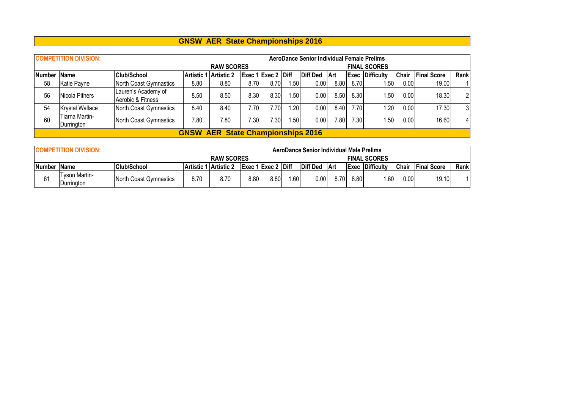|             | <b>COMPETITION DIVISION:</b> |                                          |                                                                                                            |                                          |                   |                    |                  | AeroDance Senior Individual Female Prelims |      |      |                        |              |                    |      |  |
|-------------|------------------------------|------------------------------------------|------------------------------------------------------------------------------------------------------------|------------------------------------------|-------------------|--------------------|------------------|--------------------------------------------|------|------|------------------------|--------------|--------------------|------|--|
|             |                              |                                          |                                                                                                            | <b>RAW SCORES</b>                        |                   |                    |                  |                                            |      |      | <b>FINAL SCORES</b>    |              |                    |      |  |
| Number Name |                              | <b>Club/School</b>                       |                                                                                                            | Artistic 1 Artistic 2                    |                   | Exec 1 Exec 2 Diff |                  | <b>Diff Ded</b>                            | ∣Art |      | <b>Exec Difficulty</b> | <b>Chair</b> | <b>Final Score</b> | Rank |  |
| 58          | Katie Payne                  | North Coast Gymnastics                   | 8.80                                                                                                       | 8.80                                     | 8.70              | 8.70               |                  | 0.00                                       | 8.80 | 8.70 | .50                    | 0.00         | 19.00              |      |  |
| 56          | Nicola Pithers               | Lauren's Academy of<br>Aerobic & Fitness | . 501<br>8.30<br>8.30<br>18.30<br>8.30<br>8.50<br>.501<br>0.00<br>8.50<br>.50 <sub>1</sub><br>0.00<br>8.50 |                                          |                   |                    |                  |                                            |      |      |                        |              |                    |      |  |
| 54          | <b>Krystal Wallace</b>       | North Coast Gymnastics                   | 8.40                                                                                                       | 8.40                                     | 7.70              | 7.70               | .20              | 0.00                                       | 8.40 | 7.70 | 1.20                   | 0.00         | 17.30              | 3    |  |
| 60          | Tiarna Martin-<br>Durrington | North Coast Gymnastics                   | 7.80                                                                                                       | 7.80                                     | 7.30 <sub>1</sub> | 7.30               | .50 <sub>1</sub> | 0.00                                       | 7.80 | 7.30 | .501                   | 0.00         | 16.60              | 4    |  |
|             |                              |                                          |                                                                                                            | <b>GNSW AER State Championships 2016</b> |                   |                    |                  |                                            |      |      |                        |              |                    |      |  |

|    | <b>COMPETITION DIVISION:</b>      |                        |      |                        |      |                           |     | AeroDance Senior Individual Male Prelims |       |      |                        |              |                    |      |
|----|-----------------------------------|------------------------|------|------------------------|------|---------------------------|-----|------------------------------------------|-------|------|------------------------|--------------|--------------------|------|
|    |                                   |                        |      | <b>RAW SCORES</b>      |      |                           |     |                                          |       |      | <b>FINAL SCORES</b>    |              |                    |      |
|    | <b>Club/School</b><br>Number Name |                        |      | Artistic 1  Artistic 2 |      | <b>Exec 1 Exec 2 Diff</b> |     | Diff Ded                                 | l Art |      | <b>Exec Difficulty</b> | <b>Chair</b> | <b>Final Score</b> | Rank |
| 61 | Γvson Martin-<br>Durrington       | North Coast Gymnastics | 8.70 | 8.70                   | 8.80 | 8.80                      | .60 | 0.00                                     | 8.70  | 8.80 | .60                    | 0.00         | 19.10              |      |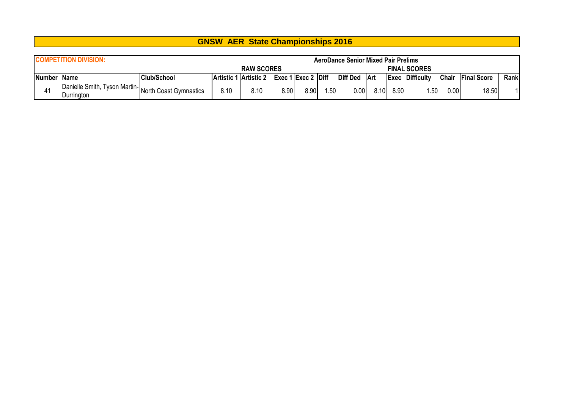|             | <b>COMPETITION DIVISION:</b>                                      |                    |      |                       |      |                                                |     | <b>AeroDance Senior Mixed Pair Prelims</b> |       |      |                        |              |                    |      |
|-------------|-------------------------------------------------------------------|--------------------|------|-----------------------|------|------------------------------------------------|-----|--------------------------------------------|-------|------|------------------------|--------------|--------------------|------|
|             |                                                                   |                    |      | <b>RAW SCORES</b>     |      |                                                |     |                                            |       |      | <b>FINAL SCORES</b>    |              |                    |      |
| Number Name |                                                                   | <b>Club/School</b> |      | Artistic 1 Artistic 2 |      | $\left $ Exec 1 $\left $ Exec 2 $\right $ Diff |     | <b>Diff Ded</b>                            | Art   |      | <b>Exec Difficulty</b> | <b>Chair</b> | <b>Final Score</b> | Rank |
|             | Danielle Smith, Tyson Martin-North Coast Gymnastics<br>Durrington |                    | 8.10 | 8.10                  | 8.90 | 8.90                                           | .50 | $0.00\,$                                   | 8.10I | 8.90 | .50                    | 0.00         | 18.50              |      |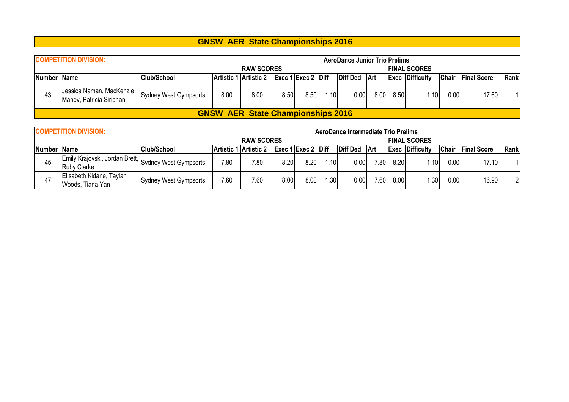|             | <b>COMPETITION DIVISION:</b>                         |                       |             |                                          |      |                                     |       | <b>AeroDance Junior Trio Prelims</b> |      |      |                        |              |                    |      |
|-------------|------------------------------------------------------|-----------------------|-------------|------------------------------------------|------|-------------------------------------|-------|--------------------------------------|------|------|------------------------|--------------|--------------------|------|
|             |                                                      |                       |             | <b>RAW SCORES</b>                        |      |                                     |       |                                      |      |      | <b>FINAL SCORES</b>    |              |                    |      |
| Number Name |                                                      | <b>Club/School</b>    | lArtistic 1 | ∣ lArtistic 2                            |      | $\left  \right $ Exec 1 Exec 2 Diff |       | Diff Ded Art                         |      |      | <b>Exec Difficulty</b> | <b>Chair</b> | <b>Final Score</b> | Rank |
| 43          | Jessica Naman, MacKenzie<br>Manev, Patricia Siriphan | Sydney West Gympsorts | 8.00        | 8.00                                     | 8.50 | 8.50                                | l.10I | 0.00                                 | 8.00 | 8.50 | l.10l                  | 0.00         | 17.60              |      |
|             |                                                      |                       |             | <b>GNSW AER State Championships 2016</b> |      |                                     |       |                                      |      |      |                        |              |                    |      |

|             | <b>COMPETITION DIVISION:</b>                                               |                       |                       |                   |      |                    |                  | AeroDance Intermediate Trio Prelims |      |      |                        |              |                    |                |
|-------------|----------------------------------------------------------------------------|-----------------------|-----------------------|-------------------|------|--------------------|------------------|-------------------------------------|------|------|------------------------|--------------|--------------------|----------------|
|             |                                                                            |                       |                       | <b>RAW SCORES</b> |      |                    |                  |                                     |      |      | <b>FINAL SCORES</b>    |              |                    |                |
| Number Name |                                                                            | <b>Club/School</b>    | Artistic 1 Artistic 2 |                   |      | Exec 1 Exec 2 Diff |                  | <b>Diff Ded</b>                     | ∣Art |      | <b>Exec Difficulty</b> | <b>Chair</b> | <b>Final Score</b> | Rank           |
| 45          | Emily Krajovski, Jordan Brett, Sydney West Gympsorts<br><b>Ruby Clarke</b> |                       | 7.80                  | 7.80              | 8.20 | 8.20               | .10              | $0.00\,$                            | 7.80 | 8.20 | .10                    | 0.00         | 17.10              |                |
| 47          | Elisabeth Kidane, Taylah<br>Woods, Tiana Yan                               | Sydney West Gympsorts | 7.60                  | 7.60              | 8.00 | 8.00               | .30 <sub>1</sub> | $0.00\,$                            | 7.60 | 8.00 | .30                    | 0.00         | 16.90              | $\overline{2}$ |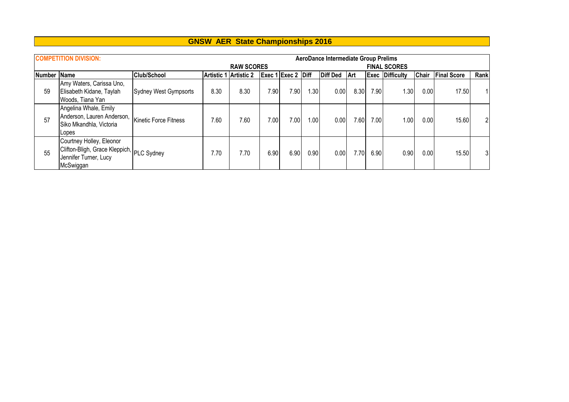|             | <b>COMPETITION DIVISION:</b>                                                                                |                       |      |                       |      |                    |      | <b>AeroDance Intermediate Group Prelims</b> |      |      |                        |              |                    |      |
|-------------|-------------------------------------------------------------------------------------------------------------|-----------------------|------|-----------------------|------|--------------------|------|---------------------------------------------|------|------|------------------------|--------------|--------------------|------|
|             |                                                                                                             |                       |      | <b>RAW SCORES</b>     |      |                    |      |                                             |      |      | <b>FINAL SCORES</b>    |              |                    |      |
| Number Name |                                                                                                             | <b>Club/School</b>    |      | Artistic 1 Artistic 2 |      | Exec 1 Exec 2 Diff |      | <b>Diff Ded</b>                             | ∣Art |      | <b>Exec Difficulty</b> | <b>Chair</b> | <b>Final Score</b> | Rank |
| 59          | Amy Waters, Carissa Uno,<br>Elisabeth Kidane, Taylah<br>Woods, Tiana Yan                                    | Sydney West Gympsorts | 8.30 | 8.30                  | 7.90 | 7.90 <sub>1</sub>  | .30  | 0.00                                        | 8.30 | 7.90 | .30 <sup>°</sup>       | 0.00         | 17.50              |      |
| 57          | Angelina Whale, Emily<br>Anderson, Lauren Anderson,<br>Siko Mkandhla, Victoria<br>Lopes                     | Kinetic Force Fitness | 7.60 | 7.60                  | 7.00 | 7.00               | 1.00 | 0.00                                        | 7.60 | 7.00 | 00. ا                  | 0.00         | 15.60              | 21   |
| 55          | Courtney Holley, Eleonor<br>Clifton-Bligh, Grace Kleppich, PLC Sydney<br>Jennifer Turner, Lucy<br>McSwiggan |                       | 7.70 | 7.70                  | 6.90 | 6.90               | 0.90 | 0.00                                        | 7.70 | 6.90 | 0.90                   | 0.00         | 15.50              | 31   |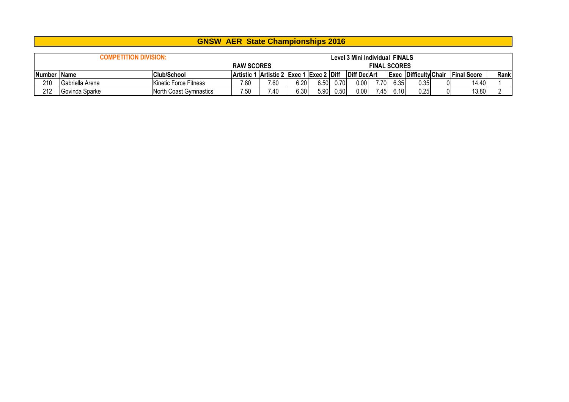|                      |                                                                | <b>GNSW AER State Championships 2016</b> |                   |                                          |      |      |                   |                     |                     |      |      |  |                                          |      |
|----------------------|----------------------------------------------------------------|------------------------------------------|-------------------|------------------------------------------|------|------|-------------------|---------------------|---------------------|------|------|--|------------------------------------------|------|
|                      |                                                                |                                          |                   |                                          |      |      |                   |                     |                     |      |      |  |                                          |      |
|                      | <b>COMPETITION DIVISION:</b><br>Level 3 Mini Individual FINALS |                                          |                   |                                          |      |      |                   |                     |                     |      |      |  |                                          |      |
|                      |                                                                |                                          | <b>RAW SCORES</b> |                                          |      |      |                   |                     | <b>FINAL SCORES</b> |      |      |  |                                          |      |
| <b>INumber IName</b> |                                                                | <b>Club/School</b>                       |                   | Artistic 1 Artistic 2 Exec 1 Exec 2 Diff |      |      |                   | <b>Diff Ded Art</b> |                     |      |      |  | <b>Exec Difficulty Chair Final Score</b> | Rank |
| 210                  | Gabriella Arena                                                | Kinetic Force Fitness                    | 7.80              | 7.60                                     | 6.20 |      | $6.50 \quad 0.70$ | 0.00                | 7.70                | 6.35 | 0.35 |  | 14.40                                    |      |
| 212                  | Govinda Sparke                                                 | North Coast Gymnastics                   | 7.50              | 7.40                                     | 6.30 | 5.90 | 0.50              | 0.00                | 7.45                | 6.10 | 0.25 |  | 13.80                                    |      |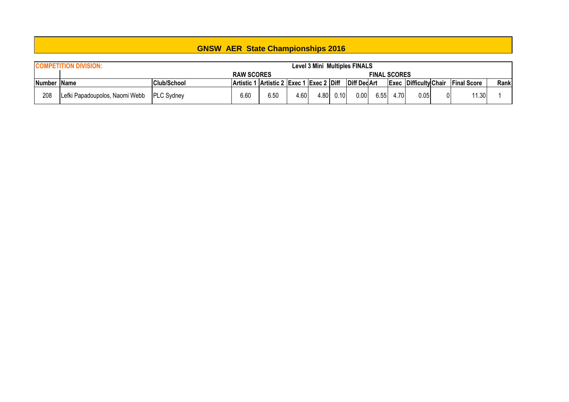|             | <b>COMPETITION DIVISION:</b>   |                    |                                          |      |      |      |      | <b>Level 3 Mini Multiples FINALS</b> |                     |      |                              |                    |      |
|-------------|--------------------------------|--------------------|------------------------------------------|------|------|------|------|--------------------------------------|---------------------|------|------------------------------|--------------------|------|
|             |                                | <b>RAW SCORES</b>  |                                          |      |      |      |      |                                      | <b>FINAL SCORES</b> |      |                              |                    |      |
| Number Name |                                | <b>Club/School</b> | Artistic 1 Artistic 2 Exec 1 Exec 2 Diff |      |      |      |      | <b>Diff DecArt</b>                   |                     |      | <b>Exec Difficulty Chair</b> | <b>Final Score</b> | Rank |
| 208         | Lefki Papadoupolos, Naomi Webb | <b>PLC Sydney</b>  | 6.60                                     | 6.50 | 4.60 | 4.80 | 0.10 | 0.00                                 | 6.55                | 4.70 | 0.051                        | 1.30               |      |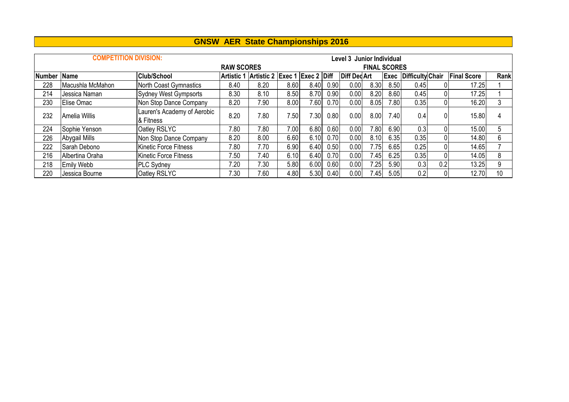|               | <b>COMPETITION DIVISION:</b> |                                          |                   |                                          |      |      |      | Level 3 Junior Individual |                     |      |                  |     |                    |      |
|---------------|------------------------------|------------------------------------------|-------------------|------------------------------------------|------|------|------|---------------------------|---------------------|------|------------------|-----|--------------------|------|
|               |                              |                                          | <b>RAW SCORES</b> |                                          |      |      |      |                           | <b>FINAL SCORES</b> |      |                  |     |                    |      |
| <b>Number</b> | <b>Name</b>                  | <b>Club/School</b>                       |                   | Artistic 1 Artistic 2 Exec 1 Exec 2 Diff |      |      |      | <b>Diff DedArt</b>        |                     | Exec | Difficulty Chair |     | <b>Final Score</b> | Rank |
| 228           | Macushla McMahon             | North Coast Gymnastics                   | 8.40              | 8.20                                     | 8.60 | 8.40 | 0.90 | 0.00                      | 8.30                | 8.50 | 0.45             |     | 17.25              |      |
| 214           | Jessica Naman                | <b>Sydney West Gympsorts</b>             | 8.30              | 8.10                                     | 8.50 | 8.70 | 0.90 | 0.00                      | 8.20                | 8.60 | 0.45             |     | 17.25              |      |
| 230           | Elise Omac                   | Non Stop Dance Company                   | 8.20              | 7.90                                     | 8.00 | 7.60 | 0.70 | 0.00                      | 8.05                | 7.80 | 0.35             |     | 16.20              | 3    |
| 232           | Amelia Willis                | Lauren's Academy of Aerobic<br>& Fitness | 8.20              | 7.80                                     | 7.50 | 7.30 | 0.80 | 0.00                      | 8.00                | 7.40 | 0.4              |     | 15.80              |      |
| 224           | Sophie Yenson                | Oatley RSLYC                             | 7.80              | 7.80                                     | 7.00 | 6.80 | 0.60 | 0.00                      | 7.80                | 6.90 | 0.3              |     | 15.00              | 5    |
| 226           | Abygail Mills                | Non Stop Dance Company                   | 8.20              | 8.00                                     | 6.60 | 6.10 | 0.70 | 0.00                      | 8.10                | 6.35 | 0.35             |     | 14.80              | 6    |
| 222           | Sarah Debono                 | Kinetic Force Fitness                    | 7.80              | 7.70                                     | 6.90 | 6.40 | 0.50 | 0.00                      | 7.75                | 6.65 | 0.25             |     | 14.65              |      |
| 216           | Albertina Oraha              | <b>Kinetic Force Fitness</b>             | 7.50              | 7.40                                     | 6.10 | 6.40 | 0.70 | 0.00                      | 7.45                | 6.25 | 0.35             |     | 14.05              | 8    |
| 218           | Emily Webb                   | <b>PLC Sydney</b>                        | 7.20              | 7.30                                     | 5.80 | 6.00 | 0.60 | 0.00                      | 7.251               | 5.90 | 0.3              | 0.2 | 13.25              | 9    |
| 220           | Jessica Bourne               | Oatley RSLYC                             | 7.30              | 7.60                                     | 4.80 | 5.30 | 0.40 | 0.00                      | 7.45                | 5.05 | 0.2              |     | 12.70              | 10   |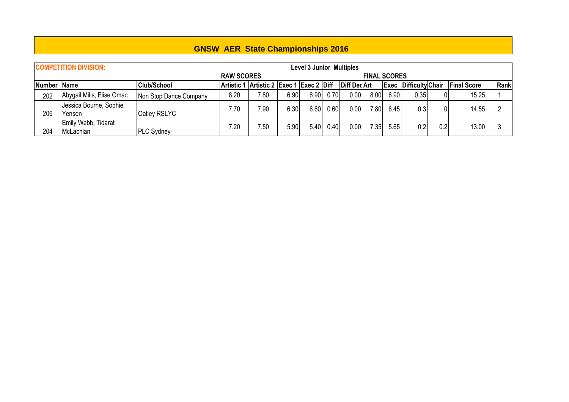|               | <b>COMPETITION DIVISION:</b> |                        |                                          |      |      | <b>Level 3 Junior Multiples</b> |      |                    |                     |      |                              |     |                    |      |
|---------------|------------------------------|------------------------|------------------------------------------|------|------|---------------------------------|------|--------------------|---------------------|------|------------------------------|-----|--------------------|------|
|               |                              |                        | <b>RAW SCORES</b>                        |      |      |                                 |      |                    | <b>FINAL SCORES</b> |      |                              |     |                    |      |
| Number   Name |                              | <b>Club/School</b>     | Artistic 1 Artistic 2 Exec 1 Exec 2 Diff |      |      |                                 |      | <b>Diff DedArt</b> |                     |      | <b>Exec Difficulty Chair</b> |     | <b>Final Score</b> | Rank |
| 202           | Abygail Mills, Elise Omac    | Non Stop Dance Company | 8.20                                     | 7.80 | 6.90 | 6.90                            | 0.70 | 0.00               | 8.00                | 6.90 | 0.35                         |     | 15.25              |      |
|               | Jessica Bourne, Sophie       |                        | 7.70                                     | 7.90 | 6.30 | 6.60                            | 0.60 | 0.00               | 7.80                | 6.45 | 0.3                          |     | 14.55              |      |
| 206           | Yenson                       | Oatley RSLYC           |                                          |      |      |                                 |      |                    |                     |      |                              |     |                    |      |
|               | Emily Webb, Tidarat          |                        | 7.20                                     | 7.50 | 5.90 | 5.40                            | 0.40 | 0.001              | 7.351               | 5.65 | 0.2                          | 0.2 | 13.00              |      |
| 204           | McLachlan                    | PLC Sydney             |                                          |      |      |                                 |      |                    |                     |      |                              |     |                    |      |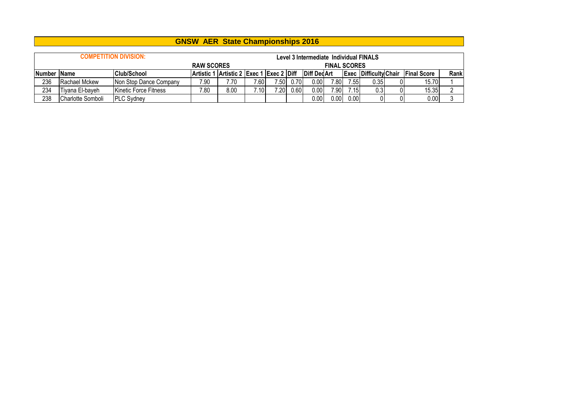|             |                   | <b>COMPETITION DIVISION:</b> | <b>RAW SCORES</b> |                                          |       |      |      | Level 3 Intermediate Individual FINALS | <b>FINAL SCORES</b> |      |                              |                    |      |
|-------------|-------------------|------------------------------|-------------------|------------------------------------------|-------|------|------|----------------------------------------|---------------------|------|------------------------------|--------------------|------|
| Number Name |                   | <b>Club/School</b>           |                   | Artistic 1 Artistic 2 Exec 1 Exec 2 Diff |       |      |      | <b>Diff DecArt</b>                     |                     |      | <b>Exec Difficulty Chair</b> | <b>Final Score</b> | Rank |
| 236         | Rachael Mckew     | Non Stop Dance Company       | 7.90              | 7.70                                     | 7.60  | 7.50 | 0.70 | 0.00                                   | 7.80                | 7.55 | 0.35                         | 15.70              |      |
| 234         | Tivana El-baveh   | <b>Kinetic Force Fitness</b> | 7.80              | 8.00                                     | ∕.10∣ | 7.20 | 0.60 | 0.00                                   | 7.90                | 7.15 | 0.31                         | 15.35              |      |
| 238         | Charlotte Somboli | <b>PLC Sydney</b>            |                   |                                          |       |      |      | 0.00                                   | $0.00\,$            | 0.00 |                              | 0.00               |      |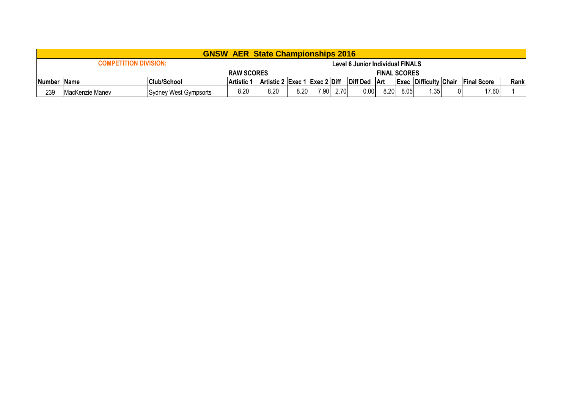|               |                              |                       | <b>GNSW AER State Championships 2016</b> |                               |      |      |      |                                  |                     |      |                              |                    |      |
|---------------|------------------------------|-----------------------|------------------------------------------|-------------------------------|------|------|------|----------------------------------|---------------------|------|------------------------------|--------------------|------|
|               | <b>COMPETITION DIVISION:</b> |                       |                                          |                               |      |      |      | Level 6 Junior Individual FINALS |                     |      |                              |                    |      |
|               |                              |                       | <b>RAW SCORES</b>                        |                               |      |      |      |                                  | <b>FINAL SCORES</b> |      |                              |                    |      |
| ∣Number ∣Name |                              | <b>Club/School</b>    | ∣Artistic ′                              | Artistic 2 Exec 1 Exec 2 Diff |      |      |      | <b>Diff Ded</b>                  | ∣Art                |      | <b>Exec Difficulty Chair</b> | <b>Final Score</b> | Rank |
| 239           | <b>IMacKenzie Manev</b>      | Sydney West Gympsorts | 8.20                                     | 8.20                          | 8.20 | 7.90 | 2.70 | 0.00                             | 8.20                | 8.05 | 1.35                         | 17.60              |      |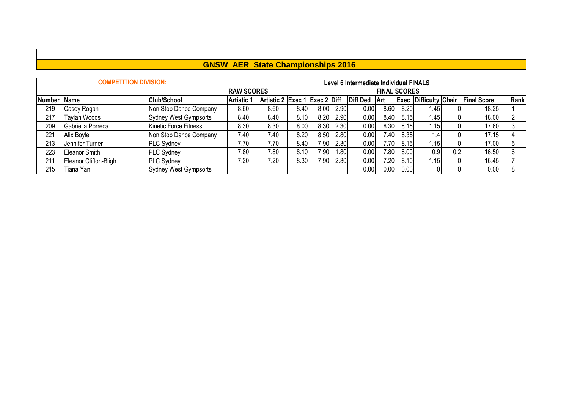|             | <b>COMPETITION DIVISION:</b> |                        |                   |                               |      |                   |      | Level 6 Intermediate Individual FINALS |                     |      |                              |     |                    |      |
|-------------|------------------------------|------------------------|-------------------|-------------------------------|------|-------------------|------|----------------------------------------|---------------------|------|------------------------------|-----|--------------------|------|
|             |                              |                        | <b>RAW SCORES</b> |                               |      |                   |      |                                        | <b>FINAL SCORES</b> |      |                              |     |                    |      |
| Number Name |                              | <b>Club/School</b>     | <b>Artistic 1</b> | Artistic 2 Exec 1 Exec 2 Diff |      |                   |      | <b>Diff Ded</b>                        | <b>Art</b>          |      | <b>Exec Difficulty Chair</b> |     | <b>Final Score</b> | Rank |
| 219         | Casey Rogan                  | Non Stop Dance Company | 8.60              | 8.60                          | 8.40 | 8.00              | 2.90 | 0.00                                   | 8.60                | 8.20 | 1.45                         |     | 18.25              |      |
| 217         | Taylah Woods                 | Sydney West Gympsorts  | 8.40              | 8.40                          | 8.10 | 8.20              | 2.90 | 0.00                                   | 8.40                | 8.15 | .45                          |     | 18.00              |      |
| 209         | Gabriella Porreca            | Kinetic Force Fitness  | 8.30              | 8.30                          | 8.00 | 8.30              | 2.30 | 0.00                                   | 8.30                | 8.15 | ا15.                         |     | 17.60              |      |
| 221         | Alix Boyle                   | Non Stop Dance Company | 7.40              | 7.40                          | 8.20 | 8.50              | 2.80 | 0.00                                   | 7.40                | 8.35 | $.4^{\circ}$                 |     | 17.15              |      |
| 213         | Jennifer Turner              | <b>PLC Sydney</b>      | 7.70              | 7.70                          | 8.40 | 7.90              | 2.30 | 0.00                                   | 7.70                | 8.15 | 1.15                         |     | 17.00              |      |
| 223         | Eleanor Smith                | <b>PLC Sydney</b>      | 7.80              | 7.80                          | 8.10 | 7.90 <sub>1</sub> | .80  | 0.00                                   | 7.80 <sub>1</sub>   | 8.00 | 0.9                          | 0.2 | 16.50              |      |
| 211         | Eleanor Clifton-Bligh        | <b>PLC Sydney</b>      | 7.20              | 7.20                          | 8.30 | 7.90              | 2.30 | 0.00                                   | 7.20                | 8.10 | .15                          |     | 16.45              |      |
| 215         | Tiana Yan                    | Sydney West Gympsorts  |                   |                               |      |                   |      | 0.00                                   | 0.00                | 0.00 |                              |     | 0.00               |      |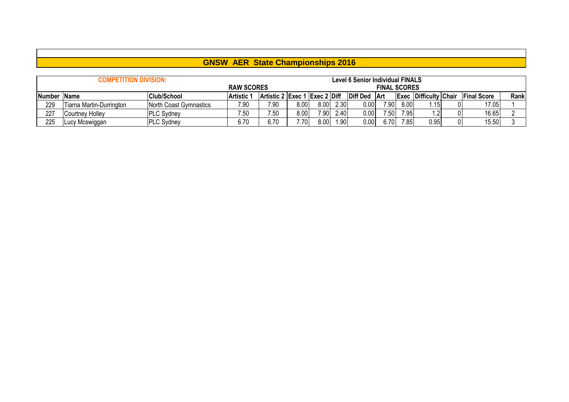|        | <b>COMPETITION DIVISION:</b> |                        |                   |                                  |      |      |       | <b>Level 6 Senior Individual FINALS</b> |                     |      |                              |                    |      |
|--------|------------------------------|------------------------|-------------------|----------------------------------|------|------|-------|-----------------------------------------|---------------------|------|------------------------------|--------------------|------|
|        |                              |                        | <b>RAW SCORES</b> |                                  |      |      |       |                                         | <b>FINAL SCORES</b> |      |                              |                    |      |
| Number | <b>Name</b>                  | <b>Club/School</b>     | <b>Artistic 1</b> | Artistic 2 $ Exec 1 Exec 2 Diff$ |      |      |       | <b>Diff Ded</b>                         | ∣Art                |      | <b>Exec Difficulty Chair</b> | <b>Final Score</b> | Rank |
| 229    | Tiarna Martin-Durrington     | North Coast Gymnastics | 7.90              | 7.90                             | 0.8  | 8.00 | 2.30  | 0.00                                    | 7.90                | 8.00 | :15.،                        | 17.05              |      |
| 227    | Courtney Holley              | <b>IPLC Sydney</b>     | 7.50              | 7.50                             | 0.8  | 7.90 | 2.40  | 0.00                                    | 7.50                | 7.95 |                              | 16.65              |      |
| 225    | Lucy Mcswiggan               | <b>PLC Sydney</b>      | 6.70              | 6.70                             | 7.70 | 8.00 | 1.901 | 0.00                                    | 6.70                | 7.85 | 0.95                         | 15.50              |      |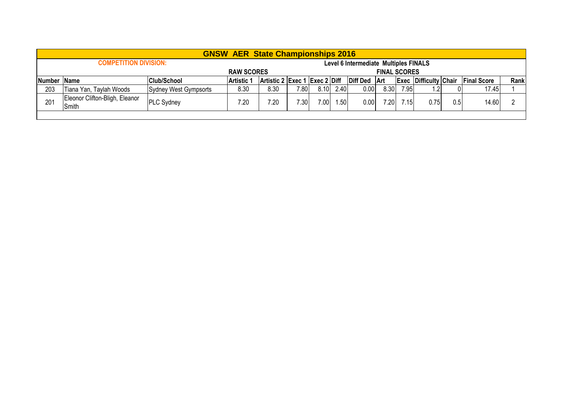|             |                                         |                       | <b>GNSW AER State Championships 2016</b> |                                               |      |                   |      |                                       |                     |      |                              |     |                    |      |
|-------------|-----------------------------------------|-----------------------|------------------------------------------|-----------------------------------------------|------|-------------------|------|---------------------------------------|---------------------|------|------------------------------|-----|--------------------|------|
|             | <b>COMPETITION DIVISION:</b>            |                       |                                          |                                               |      |                   |      | Level 6 Intermediate Multiples FINALS |                     |      |                              |     |                    |      |
|             |                                         | <b>RAW SCORES</b>     |                                          |                                               |      |                   |      |                                       | <b>FINAL SCORES</b> |      |                              |     |                    |      |
| Number Name |                                         | <b>Club/School</b>    | <b>Artistic 1</b>                        | $ $ Artistic 2 $ $ Exec 1 $ $ Exec 2 $ $ Diff |      |                   |      | Diff Ded Art                          |                     |      | <b>Exec Difficulty Chair</b> |     | <b>Final Score</b> | Rank |
| 203         | Tiana Yan, Taylah Woods                 | Sydney West Gympsorts | 8.30                                     | 8.30                                          | 7.80 | 8.10              | 2.40 | 0.00                                  | 8.30                | 7.95 |                              |     | 17.45              |      |
| 201         | Eleonor Clifton-Bligh, Eleanor<br>Smith | <b>PLC Sydney</b>     | 7.20                                     | 7.20                                          | 7.30 | 7.00 <sub>1</sub> | 1.50 | 0.00                                  | 7.20                | 7.15 | 0.75                         | 0.5 | 14.60              |      |
|             |                                         |                       |                                          |                                               |      |                   |      |                                       |                     |      |                              |     |                    |      |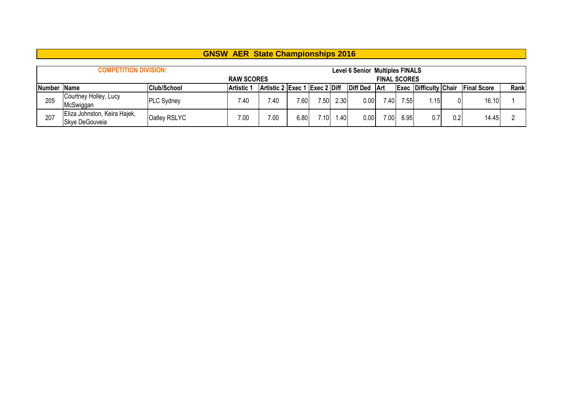|        |                                                |                     | <b>GNSW AER State Championships 2016</b> |                               |      |      |      |                                        |                     |      |                              |     |                    |      |
|--------|------------------------------------------------|---------------------|------------------------------------------|-------------------------------|------|------|------|----------------------------------------|---------------------|------|------------------------------|-----|--------------------|------|
|        | <b>COMPETITION DIVISION:</b>                   |                     |                                          |                               |      |      |      | <b>Level 6 Senior Multiples FINALS</b> |                     |      |                              |     |                    |      |
|        |                                                |                     | <b>RAW SCORES</b>                        |                               |      |      |      |                                        | <b>FINAL SCORES</b> |      |                              |     |                    |      |
| Number | <b>Name</b>                                    | <b>Club/School</b>  | <b>Artistic 1</b>                        | Artistic 2 Exec 1 Exec 2 Diff |      |      |      | <b>Diff Ded</b>                        | ∣Art                |      | <b>Exec Difficulty Chair</b> |     | <b>Final Score</b> | Rank |
| 205    | Courtney Holley, Lucy                          | <b>PLC Sydney</b>   | 7.40                                     | 7.40                          | 7.60 | 7.50 | 2.30 | 0.00                                   | .40                 | 7.55 | 1.15                         |     | 16.10              |      |
|        | McSwiggan                                      |                     |                                          |                               |      |      |      |                                        |                     |      |                              |     |                    |      |
| 207    | Eliza Johnston, Keira Hajek,<br>Skye DeGouveia | <b>Oatley RSLYC</b> | 7.00                                     | 7.00                          | 6.80 | .101 | 1.40 | 0.00                                   | 7.00                | 6.95 | 0.7                          | 0.2 | 14.45              |      |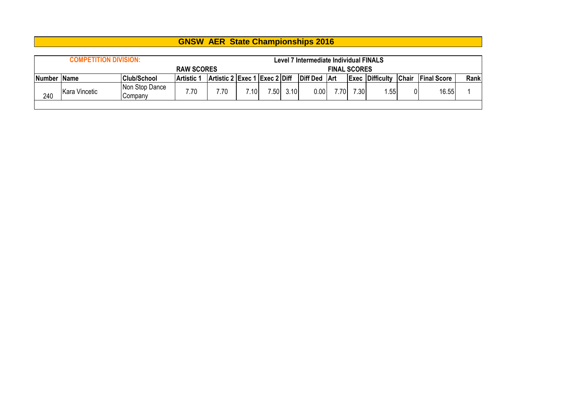|     | <b>COMPETITION DIVISION:</b>                                                            |                           |                   |      |      |      |      | Level 7 Intermediate Individual FINALS |     |      |                        |              |                    |      |
|-----|-----------------------------------------------------------------------------------------|---------------------------|-------------------|------|------|------|------|----------------------------------------|-----|------|------------------------|--------------|--------------------|------|
|     |                                                                                         |                           | <b>RAW SCORES</b> |      |      |      |      | <b>FINAL SCORES</b>                    |     |      |                        |              |                    |      |
|     | Artistic 2 Exec 1 Exec 2 Diff<br><b>Club/School</b><br>Number Name<br><b>Artistic 1</b> |                           |                   |      |      |      |      | Diff Ded   Art                         |     |      | <b>Exec Difficulty</b> | <b>Chair</b> | <b>Final Score</b> | Rank |
| 240 | Kara Vincetic                                                                           | Non Stop Dance<br>Companv | 7.70              | 70.' | 7.10 | 7.50 | 3.10 | 0.00                                   | .70 | 7.30 | .55                    | 01           | 16.55              |      |
|     |                                                                                         |                           |                   |      |      |      |      |                                        |     |      |                        |              |                    |      |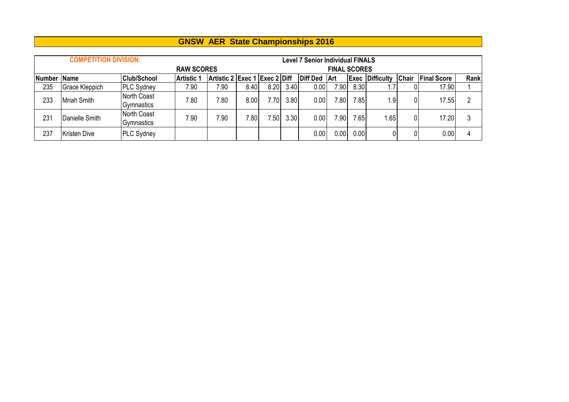|             | <b>COMPETITION DIVISION:</b> |                                         |                   |                               |       |                   |      | <b>Level 7 Senior Individual FINALS</b> |                     |      |                        |              |                    |      |
|-------------|------------------------------|-----------------------------------------|-------------------|-------------------------------|-------|-------------------|------|-----------------------------------------|---------------------|------|------------------------|--------------|--------------------|------|
|             |                              |                                         | <b>RAW SCORES</b> |                               |       |                   |      |                                         | <b>FINAL SCORES</b> |      |                        |              |                    |      |
| Number Name |                              | <b>Club/School</b>                      | <b>Artistic 1</b> | Artistic 2 Exec 1 Exec 2 Diff |       |                   |      | Diff Ded                                | <b>Art</b>          |      | <b>Exec Difficulty</b> | <b>Chair</b> | <b>Final Score</b> | Rank |
| 235         | Grace Kleppich               | <b>PLC Sydney</b>                       | 7.90              | 7.90                          | 8.40  | 8.20              | 3.40 | 0.00                                    | 7.90 <sub>1</sub>   | 8.30 |                        |              | 17.90              |      |
| 233         | Mriah Smith                  | <b>North Coast</b><br><b>Gymnastics</b> | 7.80              | 7.80                          | 8.00  | 7.70 <sub>1</sub> | 3.80 | 0.00                                    | .80                 | 7.85 | 1.9                    |              | 17.55              | っ    |
| 231         | Danielle Smith               | North Coast<br>Gymnastics               | 7.90              | 7.90                          | 7.801 | .50               | 3.30 | 0.00                                    | $.90^{\circ}$       | 7.65 | 1.65                   |              | 17.20              | 3    |
| 237         | lKristen Dive                | <b>PLC Sydney</b>                       |                   |                               |       |                   |      | 0.00                                    | 0.00                | 0.00 |                        |              | 0.00               | 4    |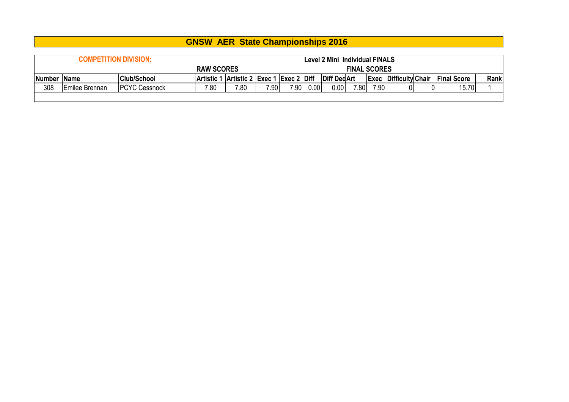|               |                        |                              | <b>GNSW AER State Championships 2016</b> |      |      |      |      |                                       |                     |      |                              |                    |      |
|---------------|------------------------|------------------------------|------------------------------------------|------|------|------|------|---------------------------------------|---------------------|------|------------------------------|--------------------|------|
|               |                        |                              |                                          |      |      |      |      |                                       |                     |      |                              |                    |      |
|               |                        | <b>COMPETITION DIVISION:</b> |                                          |      |      |      |      | <b>Level 2 Mini Individual FINALS</b> |                     |      |                              |                    |      |
|               |                        |                              | <b>RAW SCORES</b>                        |      |      |      |      |                                       | <b>FINAL SCORES</b> |      |                              |                    |      |
| <b>Number</b> | <b>IName</b>           | <b>Club/School</b>           | Artistic 1 Artistic 2 Exec 1 Exec 2 Diff |      |      |      |      | Diff Ded Art                          |                     |      | <b>Exec Difficulty Chair</b> | <b>Final Score</b> | Rank |
| 308           | <b>IEmilee Brennan</b> | <b>IPCYC Cessnock</b>        | 7.80                                     | 7.80 | 7.90 | 7.90 | 0.00 | 0.00                                  | 7.80                | 7.90 |                              | 15.70              |      |
|               |                        |                              |                                          |      |      |      |      |                                       |                     |      |                              |                    |      |

**The Contract of the Contract of the Contract of the Contract of the Contract of the Contract of the Contract o**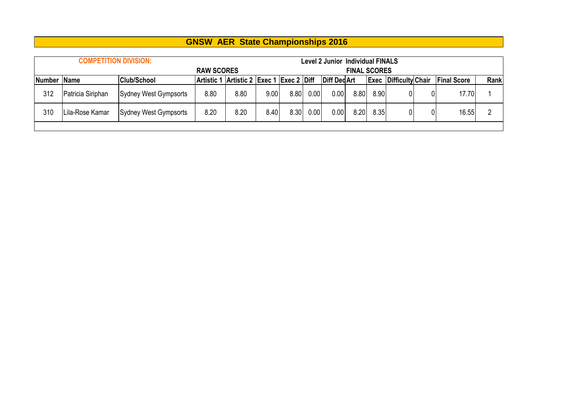|        | <b>COMPETITION DIVISION:</b> |                              |                   |                                          |      |      |      | <b>Level 2 Junior Individual FINALS</b> |                     |      |                              |                    |      |
|--------|------------------------------|------------------------------|-------------------|------------------------------------------|------|------|------|-----------------------------------------|---------------------|------|------------------------------|--------------------|------|
|        |                              |                              | <b>RAW SCORES</b> |                                          |      |      |      |                                         | <b>FINAL SCORES</b> |      |                              |                    |      |
| Number | <b>Name</b>                  | <b>Club/School</b>           |                   | Artistic 1 Artistic 2 Exec 1 Exec 2 Diff |      |      |      | <b>Diff DedArt</b>                      |                     |      | <b>Exec Difficulty Chair</b> | <b>Final Score</b> | Rank |
| 312    | Patricia Siriphan            | <b>Sydney West Gympsorts</b> | 8.80              | 8.80                                     | 9.00 | 8.80 | 0.00 | 0.00                                    | 8.80                | 8.90 |                              | 17.70              |      |
| 310    | Lila-Rose Kamar              | Sydney West Gympsorts        | 8.20              | 8.20                                     | 8.40 | 8.30 | 0.00 | 0.00                                    | 8.20                | 8.35 |                              | 16.55              |      |
|        |                              |                              |                   |                                          |      |      |      |                                         |                     |      |                              |                    |      |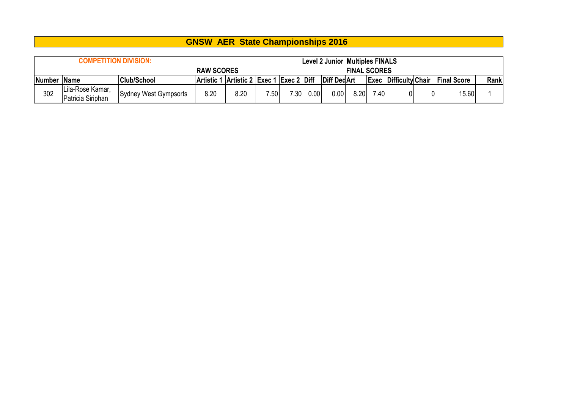|               | <b>COMPETITION DIVISION:</b>          |                       |                                          |      |      |                   |      | <b>Level 2 Junior Multiples FINALS</b> |                     |      |                              |    |                    |      |
|---------------|---------------------------------------|-----------------------|------------------------------------------|------|------|-------------------|------|----------------------------------------|---------------------|------|------------------------------|----|--------------------|------|
|               |                                       |                       | <b>RAW SCORES</b>                        |      |      |                   |      |                                        | <b>FINAL SCORES</b> |      |                              |    |                    |      |
| <b>Number</b> | ∣Name                                 | <b>Club/School</b>    | Artistic 1 Artistic 2 Exec 1 Exec 2 Diff |      |      |                   |      | <b>Diff DedArt</b>                     |                     |      | <b>Exec Difficulty Chair</b> |    | <b>Final Score</b> | Rank |
| 302           | Lila-Rose Kamar,<br>Patricia Siriphan | Sydney West Gympsorts | 8.20                                     | 8.20 | 7.50 | 7.30 <sub>1</sub> | 0.00 | 0.001                                  | 8.20                | 7.40 |                              | 01 | 15.60              |      |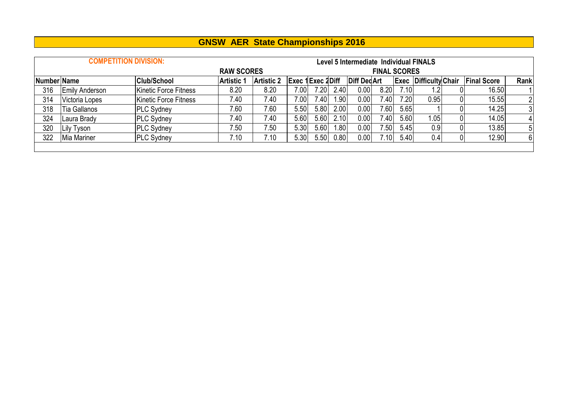|             |                       | <b>COMPETITION DIVISION:</b> |                   |                   |                         |      |      | Level 5 Intermediate Individual FINALS |                     |      |                              |                |                    |                |
|-------------|-----------------------|------------------------------|-------------------|-------------------|-------------------------|------|------|----------------------------------------|---------------------|------|------------------------------|----------------|--------------------|----------------|
|             |                       |                              | <b>RAW SCORES</b> |                   |                         |      |      |                                        | <b>FINAL SCORES</b> |      |                              |                |                    |                |
| Number Name |                       | <b>Club/School</b>           | <b>Artistic 1</b> | <b>Artistic 2</b> | <b>Exec 1Exec 2Diff</b> |      |      | Diff Ded Art                           |                     |      | <b>Exec Difficulty Chair</b> |                | <b>Final Score</b> | Rank           |
| 316         | <b>Emily Anderson</b> | Kinetic Force Fitness        | 8.20              | 8.20              | 7.00                    | 7.20 | 2.40 | $0.00\vert$                            | 8.20                | 7.10 | 1.2 <sub>1</sub>             | 01             | 16.50              |                |
| 314         | Victoria Lopes        | Kinetic Force Fitness        | 7.40              | 7.40              | 7.00                    | 7.40 | 1.90 | 0.00                                   | 7.40                | 7.20 | 0.95                         | 01             | 15.55              | $\overline{2}$ |
| 318         | <b>Tia Gallanos</b>   | <b>PLC Sydney</b>            | 7.60              | 7.60              | 5.50                    | 5.80 | 2.00 | 0.00                                   | 7.60                | 5.65 |                              | 01             | 14.25              | 3              |
| 324         | Laura Brady           | <b>PLC Sydney</b>            | 7.40              | 7.40              | 5.60                    | 5.60 | 2.10 | 0.00                                   | 7.40                | 5.60 | .05 <sub>l</sub>             | 01             | 14.05              | $\frac{4}{ }$  |
| 320         | Lily Tyson            | <b>PLC Sydney</b>            | 7.50              | 7.50              | 5.30                    | 5.60 | .80  | $0.00\,$                               | 7.50                | 5.45 | 0.9                          | 01             | 13.85              | 5              |
| 322         | Mia Mariner           | <b>PLC Sydney</b>            | 7.10              | 7.10              | 5.30                    | 5.50 | 0.80 | 0.00                                   | 7.10                | 5.40 | 0.4                          | $\overline{0}$ | 12.90              | 6              |
|             |                       |                              |                   |                   |                         |      |      |                                        |                     |      |                              |                |                    |                |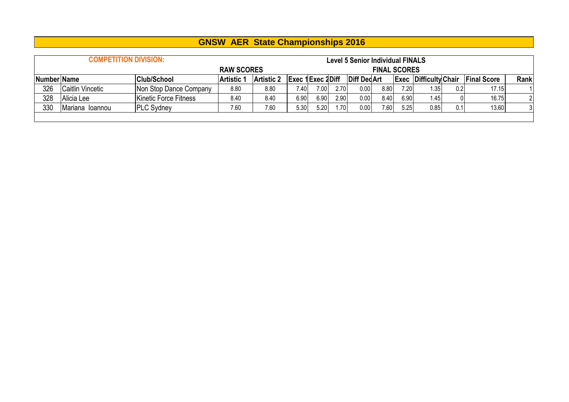|                    | <b>COMPETITION DIVISION:</b> |                        |                   |                   |                  |      |      | <b>Level 5 Senior Individual FINALS</b> |                     |      |                              |     |                    |                |
|--------------------|------------------------------|------------------------|-------------------|-------------------|------------------|------|------|-----------------------------------------|---------------------|------|------------------------------|-----|--------------------|----------------|
|                    |                              |                        | <b>RAW SCORES</b> |                   |                  |      |      |                                         | <b>FINAL SCORES</b> |      |                              |     |                    |                |
| <b>Number Name</b> |                              | <b>Club/School</b>     | <b>Artistic 1</b> | <b>Artistic 2</b> | Exec 1Exec 2Diff |      |      | Diff Ded Art                            |                     |      | <b>Exec Difficulty Chair</b> |     | <b>Final Score</b> | Rank           |
| 326                | Caitlin Vincetic             | Non Stop Dance Company | 8.80              | 8.80              | '.401            | 7.00 | 2.70 | 0.00                                    | 8.80                | 7.20 | 1.351                        | 0.2 | 17.15              |                |
| 328                | Alicia Lee                   | Kinetic Force Fitness  | 8.40              | 8.40              | 6.90             | 6.90 | 2.90 | 0.00                                    | 8.40                | 6.90 | 1.45                         |     | 16.75              |                |
| 330                | IMariana Ioannou             | <b>PLC Sydney</b>      | 7.60              | 7.60              | 5.30             | 5.20 | 1.70 | 0.00                                    | 7.60                | 5.25 | 0.85                         | 0.1 | 13.60              | 3 <sup>1</sup> |
|                    |                              |                        |                   |                   |                  |      |      |                                         |                     |      |                              |     |                    |                |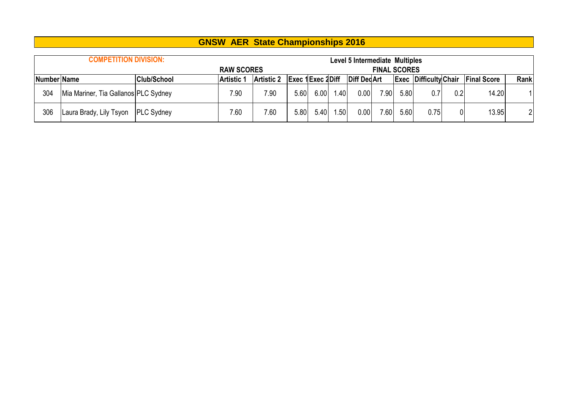|             | <b>COMPETITION DIVISION:</b>         |                    |                   |                   |                  |      |                  | Level 5 Intermediate Multiples |                     |      |                              |     |                    |      |
|-------------|--------------------------------------|--------------------|-------------------|-------------------|------------------|------|------------------|--------------------------------|---------------------|------|------------------------------|-----|--------------------|------|
|             |                                      |                    | <b>RAW SCORES</b> |                   |                  |      |                  |                                | <b>FINAL SCORES</b> |      |                              |     |                    |      |
| Number Name |                                      | <b>Club/School</b> | <b>Artistic 1</b> | <b>Artistic 2</b> | Exec 1Exec 2Diff |      |                  | Diff Ded Art                   |                     |      | <b>Exec Difficulty Chair</b> |     | <b>Final Score</b> | Rank |
| 304         | Mia Mariner, Tia Gallanos PLC Sydney |                    | 7.90              | 7.90              | 5.60             | 6.00 | .40 <sub>l</sub> | 0.00                           | 7.90                | 5.80 | 0.7                          | 0.2 | 14.20              |      |
| 306         | Laura Brady, Lily Tsyon   PLC Sydney |                    | 7.60              | 7.60              | 5.80             | 5.40 | .50 <sup>1</sup> | 0.00                           | 7.60                | 5.60 | 0.75                         |     | 13.95              | 21   |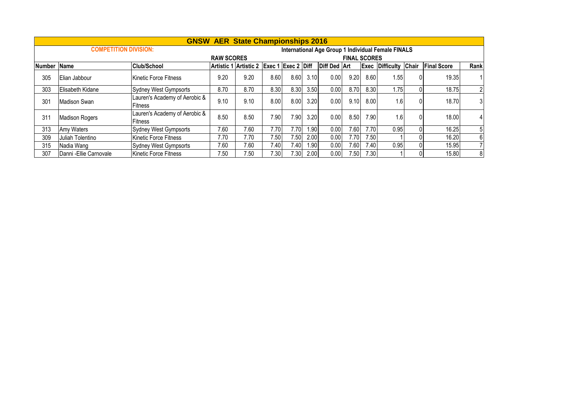|               |                              |                                          |                   | <b>GNSW AER State Championships 2016</b> |      |                   |      |              |                     |      |                                                    |                    |                |
|---------------|------------------------------|------------------------------------------|-------------------|------------------------------------------|------|-------------------|------|--------------|---------------------|------|----------------------------------------------------|--------------------|----------------|
|               | <b>COMPETITION DIVISION:</b> |                                          |                   |                                          |      |                   |      |              |                     |      | International Age Group 1 Individual Female FINALS |                    |                |
|               |                              |                                          | <b>RAW SCORES</b> |                                          |      |                   |      |              | <b>FINAL SCORES</b> |      |                                                    |                    |                |
| <b>Number</b> | Name                         | Club/School                              |                   | Artistic 1 Artistic 2 Exec 1 Exec 2 Diff |      |                   |      | Diff Ded Art |                     |      | <b>Exec Difficulty Chair</b>                       | <b>Final Score</b> | Rank           |
| 305           | Elian Jabbour                | Kinetic Force Fitness                    | 9.20              | 9.20                                     | 8.60 | 8.60              | 3.10 | 0.00         | 9.20                | 8.60 | 1.55                                               | 19.35              |                |
| 303           | <b>Elisabeth Kidane</b>      | <b>Sydney West Gympsorts</b>             | 8.70              | 8.70                                     | 8.30 | 8.30              | 3.50 | 0.00         | 8.70                | 8.30 | 1.75                                               | 18.75              | $\overline{2}$ |
| 301           | Madison Swan                 | Lauren's Academy of Aerobic &<br>Fitness | 9.10              | 9.10                                     | 8.00 | 8.00              | 3.20 | 0.00         | 9.10                | 8.00 | 1.6                                                | 18.70              | 3              |
| 311           | <b>Madison Rogers</b>        | Lauren's Academy of Aerobic &<br>Fitness | 8.50              | 8.50                                     | 7.90 | 7.90              | 3.20 | 0.00         | 8.50                | 7.90 | 1.6                                                | 18.00              | $\overline{4}$ |
| 313           | Amy Waters                   | <b>Sydney West Gympsorts</b>             | 7.60              | 7.60                                     | 7.70 | 7.70 <sub>1</sub> | 1.90 | 0.00         | 7.60                | 7.70 | 0.95                                               | 16.25              | 5              |
| 309           | Juliah Tolentino             | Kinetic Force Fitness                    | 7.70              | 7.70                                     | 7.50 | 7.50 <sub>1</sub> | 2.00 | 0.00         | 7.70                | 7.50 |                                                    | 16.20              | 6              |
| 315           | Nadia Wang                   | <b>Sydney West Gympsorts</b>             | 7.60              | 7.60                                     | 7.40 | 7.40              | 1.90 | 0.00         | 7.60                | 7.40 | 0.95                                               | 15.95              | $\overline{7}$ |
| 307           | Danni - Ellie Carnovale      | Kinetic Force Fitness                    | 7.50              | 7.50                                     | 7.30 | 7.30 <sub>1</sub> | 2.00 | 0.00         | 7.50                | 7.30 |                                                    | 15.80              | 8              |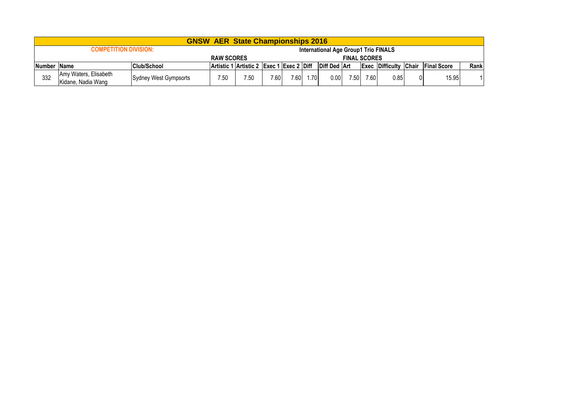|             |                                             |                       |      | <b>GNSW AER State Championships 2016</b> |      |      |      |                                      |      |      |                              |                     |      |
|-------------|---------------------------------------------|-----------------------|------|------------------------------------------|------|------|------|--------------------------------------|------|------|------------------------------|---------------------|------|
|             | <b>COMPETITION DIVISION:</b>                |                       |      |                                          |      |      |      | International Age Group1 Trio FINALS |      |      |                              |                     |      |
|             | <b>RAW SCORES</b><br><b>FINAL SCORES</b>    |                       |      |                                          |      |      |      |                                      |      |      |                              |                     |      |
| Number Name |                                             | <b>Club/School</b>    |      | Artistic 1 Artistic 2 Exec 1 Exec 2 Diff |      |      |      | Diff Ded   Art                       |      |      | <b>Exec Difficulty Chair</b> | <b>IFinal Score</b> | Rank |
| 332         | Amy Waters, Elisabeth<br>Kidane. Nadia Wang | Sydney West Gympsorts | 7.50 | 7.50                                     | 7.60 | 7.60 | 1.70 | 0.00                                 | 7.50 | 7.60 | 0.85                         | 15.95               |      |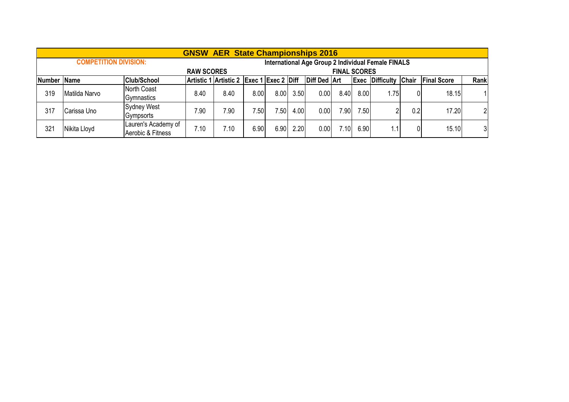|             |                              |                                          |                   | <b>GNSW AER State Championships 2016</b> |      |      |      |                     |                     |      |                                                    |     |                    |                |
|-------------|------------------------------|------------------------------------------|-------------------|------------------------------------------|------|------|------|---------------------|---------------------|------|----------------------------------------------------|-----|--------------------|----------------|
|             | <b>COMPETITION DIVISION:</b> |                                          |                   |                                          |      |      |      |                     |                     |      | International Age Group 2 Individual Female FINALS |     |                    |                |
|             |                              |                                          | <b>RAW SCORES</b> |                                          |      |      |      |                     | <b>FINAL SCORES</b> |      |                                                    |     |                    |                |
| Number Name |                              | <b>Club/School</b>                       |                   | Artistic 1 Artistic 2 Exec 1 Exec 2 Diff |      |      |      | <b>Diff Ded Art</b> |                     |      | <b>Exec Difficulty Chair</b>                       |     | <b>Final Score</b> | Rank           |
| 319         | Matilda Narvo                | North Coast<br>Gymnastics                | 8.40              | 8.40                                     | 8.00 | 8.00 | 3.50 | 0.00                | 8.40                | 8.00 | 1.75                                               | 0   | 18.15              |                |
| 317         | Carissa Uno                  | Sydney West<br>Gympsorts                 | 7.90              | 7.90                                     | 7.50 | 7.50 | 4.00 | 0.00                | 7.90                | 7.50 | C                                                  | 0.2 | 17.20              | $\overline{2}$ |
| 321         | Nikita Lloyd                 | Lauren's Academy of<br>Aerobic & Fitness | 7.10              | 7.10                                     | 6.90 | 6.90 | 2.20 | 0.00                | 7.10                | 6.90 | 1.1 <sub>1</sub>                                   |     | 15.10              | 31             |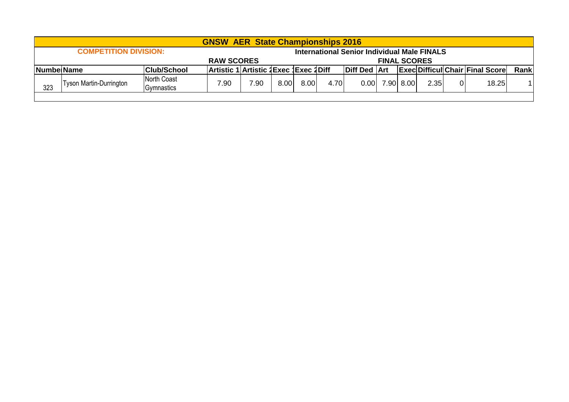|     |                                                                                                                                                                    |  | <b>GNSW AER State Championships 2016</b> |  |  |                     |              |                                                    |  |           |                                        |      |       |  |
|-----|--------------------------------------------------------------------------------------------------------------------------------------------------------------------|--|------------------------------------------|--|--|---------------------|--------------|----------------------------------------------------|--|-----------|----------------------------------------|------|-------|--|
|     | <b>COMPETITION DIVISION:</b>                                                                                                                                       |  |                                          |  |  |                     |              | <b>International Senior Individual Male FINALS</b> |  |           |                                        |      |       |  |
|     | <b>RAW SCORES</b><br><b>FINAL SCORES</b>                                                                                                                           |  |                                          |  |  |                     |              |                                                    |  |           |                                        |      |       |  |
|     |                                                                                                                                                                    |  |                                          |  |  | <b>Diff Ded Art</b> |              |                                                    |  |           | <b>Exec Difficul Chair Final Score</b> | Rank |       |  |
| 323 | Artistic 1 Artistic 1 Exec 1 Exec 1 Diff<br><b>Club/School</b><br><b>NumbelName</b><br>North Coast<br>7.90<br><b>Tyson Martin-Durrington</b><br>7.90<br>Gymnastics |  |                                          |  |  |                     | 4.70<br>8.00 | 0.00                                               |  | 7.90 8.00 | 2.35                                   | 01   | 18.25 |  |
|     |                                                                                                                                                                    |  |                                          |  |  |                     |              |                                                    |  |           |                                        |      |       |  |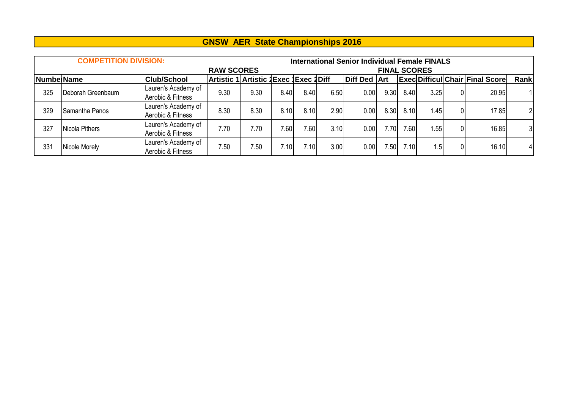|             | <b>COMPETITION DIVISION:</b> |                                          |                                        |      |      |       |      | <b>International Senior Individual Female FINALS</b> |                     |      |      |    |                                        |                |
|-------------|------------------------------|------------------------------------------|----------------------------------------|------|------|-------|------|------------------------------------------------------|---------------------|------|------|----|----------------------------------------|----------------|
|             |                              |                                          | <b>RAW SCORES</b>                      |      |      |       |      |                                                      | <b>FINAL SCORES</b> |      |      |    |                                        |                |
| Numbel Name |                              | <b>Club/School</b>                       | Artistic 1 Artistic 1Exec 1Exec 1 Diff |      |      |       |      | <b>Diff Ded Art</b>                                  |                     |      |      |    | <b>Exec Difficul Chair Final Score</b> | Rank           |
| 325         | Deborah Greenbaum            | Lauren's Academy of<br>Aerobic & Fitness | 9.30                                   | 9.30 | 8.40 | 8.40  | 6.50 | 0.00                                                 | 9.30                | 8.40 | 3.25 | 01 | 20.95                                  |                |
| 329         | ISamantha Panos              | Lauren's Academy of<br>Aerobic & Fitness | 8.30                                   | 8.30 | 8.10 | 8.10  | 2.90 | 0.00                                                 | 8.30                | 8.10 | 1.45 | 01 | 17.85                                  | $\overline{2}$ |
| 327         | Nicola Pithers               | Lauren's Academy of<br>Aerobic & Fitness | 7.70                                   | 7.70 | 7.60 | 7.60  | 3.10 | 0.00                                                 | 7.701               | 7.60 | 1.55 | 01 | 16.85                                  | 3 <sup>1</sup> |
| 331         | Nicole Morely                | Lauren's Academy of<br>Aerobic & Fitness | 7.50                                   | 7.50 | 7.10 | 7.10I | 3.00 | 0.00                                                 | 7.50                | 7.10 | 1.5  | 01 | 16.10                                  | 41             |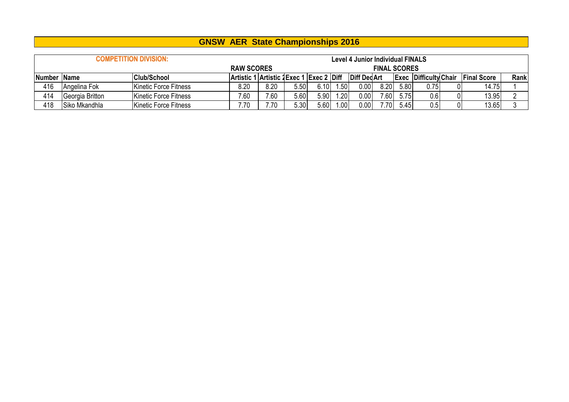|               |                 | <b>COMPETITION DIVISION:</b> |                                          |      |      |      |     | <b>Level 4 Junior Individual FINALS</b> |                     |      |                              |   |                    |      |
|---------------|-----------------|------------------------------|------------------------------------------|------|------|------|-----|-----------------------------------------|---------------------|------|------------------------------|---|--------------------|------|
|               |                 |                              | <b>RAW SCORES</b>                        |      |      |      |     |                                         | <b>FINAL SCORES</b> |      |                              |   |                    |      |
| <b>Number</b> | <b>Name</b>     | <b>Club/School</b>           | Artistic 1 Artistic 2 Exec 1 Exec 2 Diff |      |      |      |     | Diff Ded Art                            |                     |      | <b>Exec Difficulty Chair</b> |   | <b>Final Score</b> | Rank |
| 416           | Angelina Fok    | <b>Kinetic Force Fitness</b> | 8.20                                     | 8.20 | 5.50 | 6.10 | .50 | 0.00                                    | 8.20                | 5.80 | 0.75                         |   | 14.75              |      |
| 414           | Georgia Britton | <b>Kinetic Force Fitness</b> | 7.60                                     | 7.60 | 5.60 | 5.90 | .20 | 0.00                                    | 7.60                | 5.75 | 0.6                          |   | 13.95              |      |
| 418           | Siko Mkandhla   | Kinetic Force Fitness        | 7.70                                     | 7.70 | 5.30 | 5.60 | .00 | 0.00                                    | 7.70                | 5.45 | 0.5                          | 0 | 13.65              |      |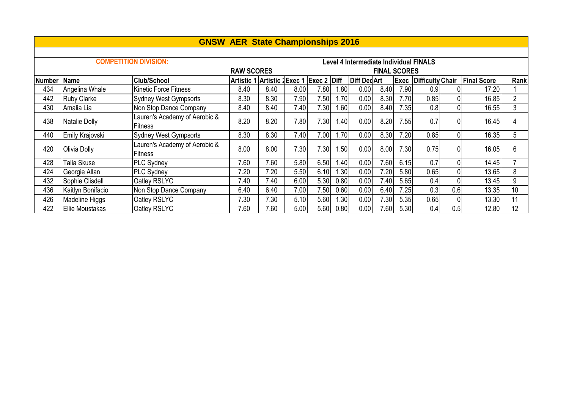|               |                        |                                                 | <b>GNSW AER State Championships 2016</b> |      |      |      |      |                                        |                     |             |                         |          |                    |                |
|---------------|------------------------|-------------------------------------------------|------------------------------------------|------|------|------|------|----------------------------------------|---------------------|-------------|-------------------------|----------|--------------------|----------------|
|               |                        |                                                 |                                          |      |      |      |      |                                        |                     |             |                         |          |                    |                |
|               |                        | <b>COMPETITION DIVISION:</b>                    |                                          |      |      |      |      | Level 4 Intermediate Individual FINALS |                     |             |                         |          |                    |                |
|               |                        |                                                 | <b>RAW SCORES</b>                        |      |      |      |      |                                        | <b>FINAL SCORES</b> |             |                         |          |                    |                |
| <b>Number</b> | Name                   | <b>Club/School</b>                              | Artistic 1 Artistic 1Exec 1 Exec 2 Diff  |      |      |      |      | <b>Diff DedArt</b>                     |                     | <b>Exec</b> | <b>Difficulty Chair</b> |          | <b>Final Score</b> | Rank           |
| 434           | Angelina Whale         | <b>Kinetic Force Fitness</b>                    | 8.40                                     | 8.40 | 8.00 | 7.80 | 1.80 | 0.00                                   | 8.40                | 7.90        | 0.9                     |          | 17.20              |                |
| 442           | <b>Ruby Clarke</b>     | <b>Sydney West Gympsorts</b>                    | 8.30                                     | 8.30 | 7.90 | 7.50 | 1.70 | 0.00                                   | 8.30                | 7.70        | 0.85                    | 0        | 16.85              | $\overline{2}$ |
| 430           | Amalia Lia             | Non Stop Dance Company                          | 8.40                                     | 8.40 | 7.40 | 7.30 | 1.60 | 0.00                                   | 8.40                | 7.35        | 0.8                     | 0        | 16.55              | 3              |
| 438           | Natalie Dolly          | Lauren's Academy of Aerobic &<br><b>Fitness</b> | 8.20                                     | 8.20 | 7.80 | 7.30 | 1.40 | 0.00                                   | 8.20                | 7.55        | 0.7                     | 0        | 16.45              | 4              |
| 440           | Emily Krajovski        | Sydney West Gympsorts                           | 8.30                                     | 8.30 | 7.40 | 7.00 | 1.70 | 0.00                                   | 8.30                | 7.20        | 0.85                    | 0        | 16.35              | 5              |
| 420           | Olivia Dolly           | Lauren's Academy of Aerobic &<br><b>Fitness</b> | 8.00                                     | 8.00 | 7.30 | 7.30 | 1.50 | 0.00                                   | 8.00                | 7.30        | 0.75                    | 0        | 16.05              | 6              |
| 428           | Talia Skuse            | <b>PLC Sydney</b>                               | 7.60                                     | 7.60 | 5.80 | 6.50 | 1.40 | 0.00                                   | 7.60                | 6.15        | 0.7                     | 0        | 14.45              |                |
| 424           | Georgie Allan          | <b>PLC Sydney</b>                               | 7.20                                     | 7.20 | 5.50 | 6.10 | 1.30 | 0.00                                   | 7.20                | 5.80        | 0.65                    | 0        | 13.65              | 8              |
| 432           | Sophie Clisdell        | Oatley RSLYC                                    | 7.40                                     | 7.40 | 6.00 | 5.30 | 0.80 | 0.00                                   | 7.40                | 5.65        | 0.4                     | $\Omega$ | 13.45              | 9              |
| 436           | Kaitlyn Bonifacio      | Non Stop Dance Company                          | 6.40                                     | 6.40 | 7.00 | 7.50 | 0.60 | 0.00                                   | 6.40                | 7.25        | 0.3                     | 0.6      | 13.35              | 10             |
| 426           | Madeline Higgs         | Oatley RSLYC                                    | 7.30                                     | 7.30 | 5.10 | 5.60 | 1.30 | 0.00                                   | 7.30                | 5.35        | 0.65                    | $\Omega$ | 13.30              | 11             |
| 422           | <b>Ellie Moustakas</b> | Oatley RSLYC                                    | 7.60                                     | 7.60 | 5.00 | 5.60 | 0.80 | 0.00                                   | 7.60                | 5.30        | 0.4                     | 0.5      | 12.80              | 12             |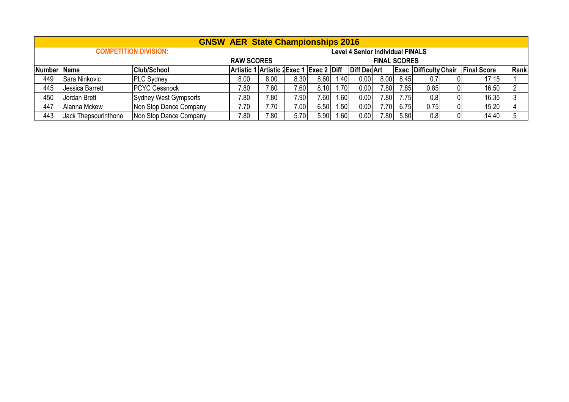|             |                      |                              | <b>GNSW AER State Championships 2016</b> |      |       |      |        |                                         |                     |      |                              |                    |      |
|-------------|----------------------|------------------------------|------------------------------------------|------|-------|------|--------|-----------------------------------------|---------------------|------|------------------------------|--------------------|------|
|             |                      | <b>COMPETITION DIVISION:</b> |                                          |      |       |      |        | <b>Level 4 Senior Individual FINALS</b> |                     |      |                              |                    |      |
|             |                      |                              | <b>RAW SCORES</b>                        |      |       |      |        |                                         | <b>FINAL SCORES</b> |      |                              |                    |      |
| Number Name |                      | <b>Club/School</b>           | Artistic 1 Artistic 2 Exec 1 Exec 2 Diff |      |       |      |        | <b>Diff DedArt</b>                      |                     |      | <b>Exec Difficulty Chair</b> | <b>Final Score</b> | Rank |
| 449         | Sara Ninkovic        | <b>PLC Sydney</b>            | 8.00                                     | 8.00 | 8.30  | 8.60 | 1.40   | 0.00                                    | 8.00                | 8.45 | 0.7                          | 17.15              |      |
| 445         | Jessica Barrett      | <b>PCYC Cessnock</b>         | 7.80                                     | 7.80 | 7.601 | 8.10 | 1.70   | 0.00                                    | 7.80                | 7.85 | 0.85                         | 16.50              |      |
| 450         | Jordan Brett         | Sydney West Gympsorts        | 7.80                                     | .80  | 7.90  | 7.60 | 1.60   | 0.00                                    | 7.80                | 7.75 | 0.8                          | 16.35              |      |
| 447         | Alanna Mckew         | Non Stop Dance Company       | 7.70                                     | 7.70 | 7.00  | 6.50 | 50 ، ، | 0.00                                    | 70I.                | 6.75 | 0.75                         | 15.20              |      |
| 443         | Jack Thepsourinthone | Non Stop Dance Company       | 7.80                                     | .80  | 5.70  | 5.90 | .60    | 0.00                                    | 7.80                | 5.80 | 0.8                          | 14.40              |      |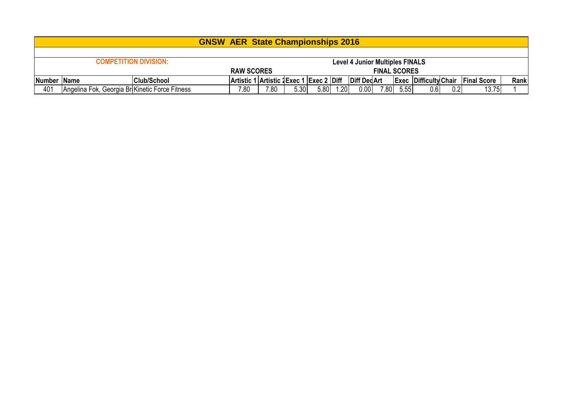|             |                                                                        |                    | <b>GNSW AER State Championships 2016</b> |      |      |      |        |              |                     |      |                              |     |                    |      |
|-------------|------------------------------------------------------------------------|--------------------|------------------------------------------|------|------|------|--------|--------------|---------------------|------|------------------------------|-----|--------------------|------|
|             |                                                                        |                    |                                          |      |      |      |        |              |                     |      |                              |     |                    |      |
|             | <b>COMPETITION DIVISION:</b><br><b>Level 4 Junior Multiples FINALS</b> |                    |                                          |      |      |      |        |              |                     |      |                              |     |                    |      |
|             |                                                                        |                    | <b>RAW SCORES</b>                        |      |      |      |        |              | <b>FINAL SCORES</b> |      |                              |     |                    |      |
| Number Name |                                                                        | <b>Club/School</b> | Artistic 1 Artistic 2 Exec 1 Exec 2 Diff |      |      |      |        | Diff Ded Art |                     |      | <b>Exec Difficulty Chair</b> |     | <b>Final Score</b> | Rank |
| 401         | Angelina Fok, Georgia BriKinetic Force Fitness                         |                    | 7.80                                     | 7.80 | 5.30 | 5.80 | l.20 l | 0.00         | 7.80                | 5.55 | 0.6                          | 0.2 | 13.75              |      |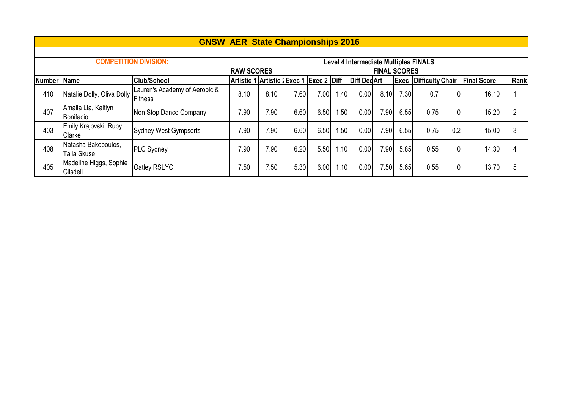|               |                                    |                                          | <b>GNSW AER State Championships 2016</b> |      |      |      |                   |                                       |                     |      |                         |                |                    |      |
|---------------|------------------------------------|------------------------------------------|------------------------------------------|------|------|------|-------------------|---------------------------------------|---------------------|------|-------------------------|----------------|--------------------|------|
|               |                                    |                                          |                                          |      |      |      |                   |                                       |                     |      |                         |                |                    |      |
|               |                                    | <b>COMPETITION DIVISION:</b>             |                                          |      |      |      |                   | Level 4 Intermediate Multiples FINALS |                     |      |                         |                |                    |      |
|               |                                    |                                          | <b>RAW SCORES</b>                        |      |      |      |                   |                                       | <b>FINAL SCORES</b> |      |                         |                |                    |      |
| <b>Number</b> | Name                               | <b>Club/School</b>                       | Artistic 1 Artistic 2Exec 1 Exec 2 Diff  |      |      |      |                   | <b>Diff DedArt</b>                    |                     | Exec | <b>Difficulty Chair</b> |                | <b>Final Score</b> | Rank |
| 410           | Natalie Dolly, Oliva Dolly         | Lauren's Academy of Aerobic &<br>Fitness | 8.10                                     | 8.10 | 7.60 | 7.00 | 1.40 <sub>1</sub> | 0.00                                  | 8.10                | 7.30 | 0.7                     | 0              | 16.10              |      |
| 407           | Amalia Lia, Kaitlyn<br>Bonifacio   | Non Stop Dance Company                   | 7.90                                     | 7.90 | 6.60 | 6.50 | 1.50              | 0.00                                  | 7.90 <sub>1</sub>   | 6.55 | 0.75                    | $\overline{0}$ | 15.20              | 2    |
| 403           | Emily Krajovski, Ruby<br>Clarke    | Sydney West Gympsorts                    | 7.90                                     | 7.90 | 6.60 | 6.50 | .50               | 0.00                                  | 7.90 <sub>1</sub>   | 6.55 | 0.75                    | 0.2            | 15.00              | 3    |
| 408           | Natasha Bakopoulos,<br>Talia Skuse | <b>PLC Sydney</b>                        | 7.90                                     | 7.90 | 6.20 | 5.50 | 1.10              | 0.00                                  | 7.90 <sub>1</sub>   | 5.85 | 0.55                    | $\mathbf 0$    | 14.30              |      |
| 405           | Madeline Higgs, Sophie<br>Clisdell | Oatley RSLYC                             | 7.50                                     | 7.50 | 5.30 | 6.00 | 1.10              | 0.00                                  | 7.50                | 5.65 | 0.55                    | $\mathbf 0$    | 13.70              | 5    |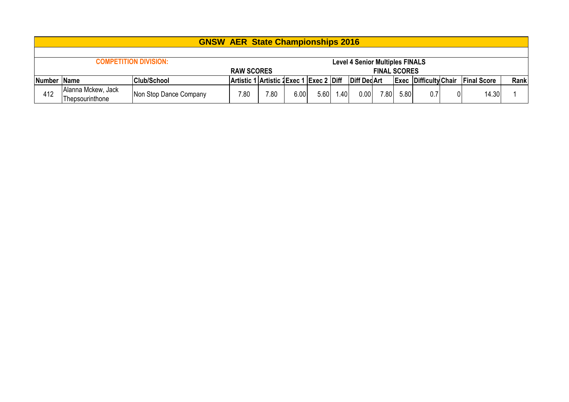|     |                                   | <b>GNSW AER State Championships 2016</b> |      |                                         |      |      |                                        |                    |                     |      |                              |    |                    |      |
|-----|-----------------------------------|------------------------------------------|------|-----------------------------------------|------|------|----------------------------------------|--------------------|---------------------|------|------------------------------|----|--------------------|------|
|     |                                   |                                          |      |                                         |      |      |                                        |                    |                     |      |                              |    |                    |      |
|     | <b>COMPETITION DIVISION:</b>      |                                          |      |                                         |      |      | <b>Level 4 Senior Multiples FINALS</b> |                    |                     |      |                              |    |                    |      |
|     |                                   |                                          |      |                                         |      |      |                                        |                    | <b>FINAL SCORES</b> |      |                              |    |                    |      |
|     | Number Name<br><b>Club/School</b> |                                          |      | Artistic 1 Artistic 2Exec 1 Exec 2 Diff |      |      |                                        | <b>Diff DedArt</b> |                     |      | <b>Exec Difficulty Chair</b> |    | <b>Final Score</b> | Rank |
| 412 | Alanna Mckew, Jack                |                                          | 7.80 | $^{\prime}$ .80                         | 6.00 | 5.60 | 1.40                                   | 0.00               | 7.80 <sub>1</sub>   | 5.80 | 0.7                          | 01 | 14.30              |      |
|     | Thepsourinthone                   | Non Stop Dance Company                   |      |                                         |      |      |                                        |                    |                     |      |                              |    |                    |      |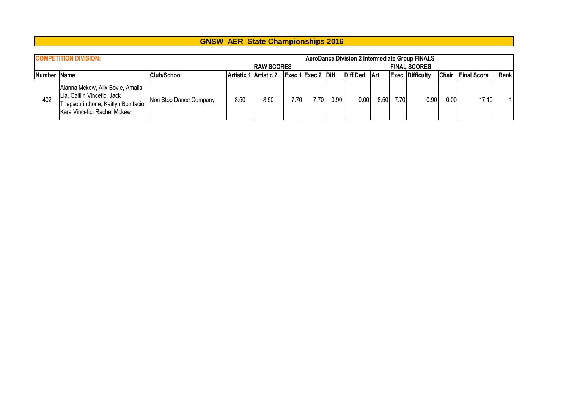|             | <b>COMPETITION DIVISION:</b>                                                                                                          |                        |                       | <b>RAW SCORES</b> |      |                           |          |          |      |      | <b>AeroDance Division 2 Intermediate Group FINALS</b><br><b>FINAL SCORES</b> |       |                    |      |
|-------------|---------------------------------------------------------------------------------------------------------------------------------------|------------------------|-----------------------|-------------------|------|---------------------------|----------|----------|------|------|------------------------------------------------------------------------------|-------|--------------------|------|
| Number Name |                                                                                                                                       | Club/School            | Artistic 1 Artistic 2 |                   |      | <b>Exec 1 Exec 2 Diff</b> |          | Diff Ded | 'Art |      | <b>Exec Difficulty</b>                                                       | Chair | <b>Final Score</b> | Rank |
| 402         | Alanna Mckew, Alix Boyle, Amalia<br>Lia, Caitlin Vincetic, Jack<br>Thepsourinthone, Kaitlyn Bonifacio,<br>Kara Vincetic, Rachel Mckew | Non Stop Dance Company | 8.50                  | 8.50              | 7.70 | 7.70                      | $0.90\,$ | 0.00     | 8.50 | 7.70 | 0.90                                                                         | 0.00  | 17.10              |      |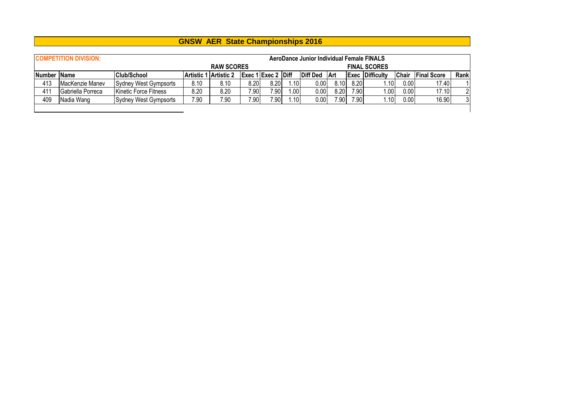|             | <b>COMPETITION DIVISION:</b> |                              | <b>RAW SCORES</b>     |      |       |                     | AeroDance Junior Individual Female FINALS |          |      | <b>FINAL SCORES</b> |                        |              |                    |      |
|-------------|------------------------------|------------------------------|-----------------------|------|-------|---------------------|-------------------------------------------|----------|------|---------------------|------------------------|--------------|--------------------|------|
| Number Name |                              | <b>Club/School</b>           | Artistic 1 Artistic 2 |      |       | Exec 1 Exec 2  Diff |                                           | Diff Ded | ∣Art |                     | <b>Exec Difficulty</b> | <b>Chair</b> | <b>Final Score</b> | Rank |
| 413         | MacKenzie Manev              | Sydney West Gympsorts        | 8.10                  | 8.10 | 8.20  | 8.20                | 1.101                                     | 0.00     | 8.10 | 8.20                | 1.101                  | 0.00         | 17.40              |      |
| 411         | Gabriella Porreca            | <b>Kinetic Force Fitness</b> | 8.20                  | 8.20 | 7.901 | 7.90                | 1.00                                      | 0.00     | 8.20 | 7.90                | 1.00                   | 0.00         | 17.10              | າ    |
| 409         | Nadia Wang                   | Sydney West Gympsorts        | 7.90                  | 7.90 | 7.90  | 7.90                | 1.10                                      | 0.00     | 7.90 | 7.90                | 1.10                   | 0.00         | 16.90              | 3    |
|             |                              |                              |                       |      |       |                     |                                           |          |      |                     |                        |              |                    |      |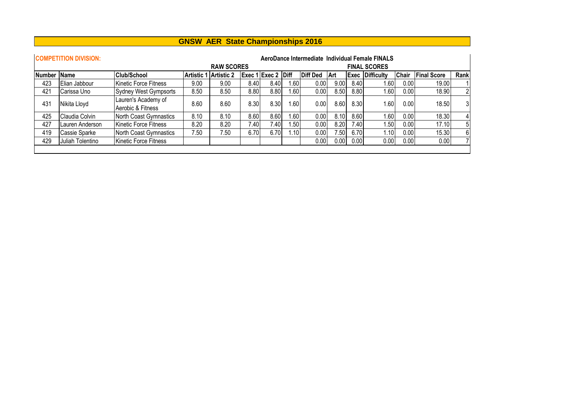|               | <b>GNSW AER State Championships 2016</b> |                                          |                       |                   |       |                    |       |                 |      |      |                                                                        |              |                    |                |
|---------------|------------------------------------------|------------------------------------------|-----------------------|-------------------|-------|--------------------|-------|-----------------|------|------|------------------------------------------------------------------------|--------------|--------------------|----------------|
|               | <b>COMPETITION DIVISION:</b>             |                                          |                       | <b>RAW SCORES</b> |       |                    |       |                 |      |      | AeroDance Intermediate Individual Female FINALS<br><b>FINAL SCORES</b> |              |                    |                |
| <b>Number</b> | <b>Name</b>                              | Club/School                              | Artistic 1 Artistic 2 |                   |       | Exec 1 Exec 2 Diff |       | <b>Diff Ded</b> | Art  | Exec | <b>Difficulty</b>                                                      | <b>Chair</b> | <b>Final Score</b> | Rank           |
| 423           | Elian Jabbour                            | <b>Kinetic Force Fitness</b>             | 9.00                  | 9.00              | 8.40  | 8.40               | 1.60  | 0.00            | 9.00 | 8.40 | 1.60                                                                   | 0.00         | 19.00              |                |
| 421           | Carissa Uno                              | Sydney West Gympsorts                    | 8.50                  | 8.50              | 8.80  | 8.80               | 1.601 | 0.00            | 8.50 | 8.80 | 1.60                                                                   | 0.00         | 18.90              | $\overline{2}$ |
| 431           | Nikita Lloyd                             | Lauren's Academy of<br>Aerobic & Fitness | 8.60                  | 8.60              | 8.30  | 8.30               | 1.60  | 0.00            | 8.60 | 8.30 | 1.60                                                                   | 0.00         | 18.50              | 3 <sup>1</sup> |
| 425           | Claudia Colvin                           | <b>North Coast Gymnastics</b>            | 8.10                  | 8.10              | 8.60  | 8.60               | 1.60  | 0.00            | 8.10 | 8.60 | 1.60                                                                   | 0.00         | 18.30              | $\vert$        |
| 427           | Lauren Anderson                          | Kinetic Force Fitness                    | 8.20                  | 8.20              | 7.401 | 7.401              | 1.50  | 0.00            | 8.20 | 7.40 | 1.50                                                                   | 0.00         | 17.10              | 5              |
| 419           | Cassie Sparke                            | North Coast Gymnastics                   | 7.50                  | 7.50              | 6.70  | 6.70               | 1.10  | 0.00            | 7.50 | 6.70 | 1.10                                                                   | 0.00         | 15.30              | 6 <sup>1</sup> |
| 429           | Juliah Tolentino                         | Kinetic Force Fitness                    |                       |                   |       |                    |       | 0.00            | 0.00 | 0.00 | 0.00                                                                   | 0.00         | 0.00               |                |
|               |                                          |                                          |                       |                   |       |                    |       |                 |      |      |                                                                        |              |                    |                |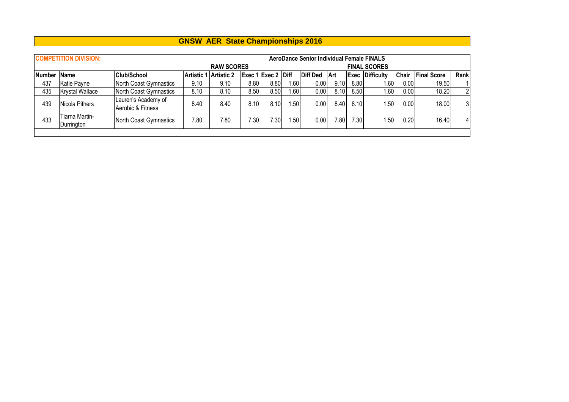|             | <b>COMPETITION DIVISION:</b> |                                          |                   |                   |       |                    | <b>AeroDance Senior Individual Female FINALS</b> |                 |                   |      |                        |              |                    |                |
|-------------|------------------------------|------------------------------------------|-------------------|-------------------|-------|--------------------|--------------------------------------------------|-----------------|-------------------|------|------------------------|--------------|--------------------|----------------|
|             |                              |                                          |                   | <b>RAW SCORES</b> |       |                    |                                                  |                 |                   |      | <b>FINAL SCORES</b>    |              |                    |                |
| Number Name |                              | <b>Club/School</b>                       | <b>Artistic 1</b> | <b>Artistic 2</b> |       | Exec 1 Exec 2 Diff |                                                  | <b>Diff Ded</b> | Art               |      | <b>Exec Difficulty</b> | <b>Chair</b> | <b>Final Score</b> | Rank           |
| 437         | Katie Payne                  | North Coast Gymnastics                   | 9.10              | 9.10              | 8.80  | 8.80               | .60                                              | 0.00            | 9.10              | 8.80 | 1.60                   | $0.00\,$     | 19.50              |                |
| 435         | <b>Krystal Wallace</b>       | North Coast Gymnastics                   | 8.10              | 8.10              | 8.501 | 8.50               | ا60.،                                            | 0.00            | 8.10              | 8.50 | 1.60                   | 0.00         | 18.20              | $\overline{2}$ |
| 439         | Nicola Pithers               | Lauren's Academy of<br>Aerobic & Fitness | 8.40              | 8.40              | 8.10  | 8.10               | .50                                              | 0.00            | 8.40              | 8.10 | 1.50                   | 0.00         | 18.00              | 3 <sup>1</sup> |
| 433         | Tiarna Martin-<br>Durrington | North Coast Gymnastics                   | 7.80              | 7.80              | 7.30I | 7.301              | .50                                              | 0.00            | 7.80 <sub>1</sub> | 7.30 | 1.501                  | 0.20         | 16.40              |                |
|             |                              |                                          |                   |                   |       |                    |                                                  |                 |                   |      |                        |              |                    |                |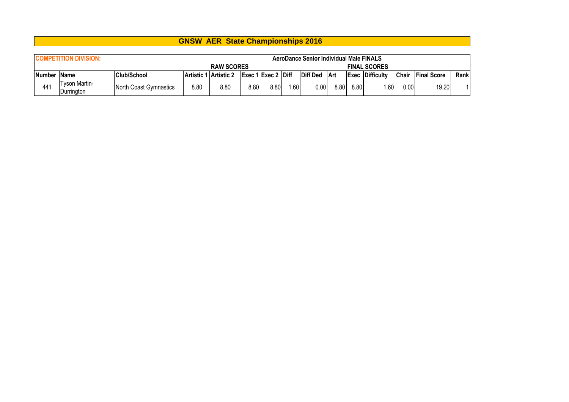|                                                                         | <b>GNSW AER State Championships 2016</b> |                        |      |                       |      |                    |       |          |            |      |                        |              |                    |      |
|-------------------------------------------------------------------------|------------------------------------------|------------------------|------|-----------------------|------|--------------------|-------|----------|------------|------|------------------------|--------------|--------------------|------|
| <b>COMPETITION DIVISION:</b><br>AeroDance Senior Individual Male FINALS |                                          |                        |      |                       |      |                    |       |          |            |      |                        |              |                    |      |
|                                                                         |                                          |                        |      | <b>RAW SCORES</b>     |      |                    |       |          |            |      | <b>FINAL SCORES</b>    |              |                    |      |
| Number Name                                                             |                                          | Club/School            |      | Artistic 1 Artistic 2 |      | Exec 1 Exec 2 Diff |       | Diff Ded | <b>Art</b> |      | <b>Exec Difficulty</b> | <b>Chair</b> | <b>Final Score</b> | Rank |
| 441                                                                     | <b>Tyson Martin-</b><br> Durrington_     | North Coast Gymnastics | 8.80 | 8.80                  | 8.80 | 8.80               | 1.601 | 0.00     | 8.80       | 8.80 | 1.60                   | 0.00         | 19.20              | 11   |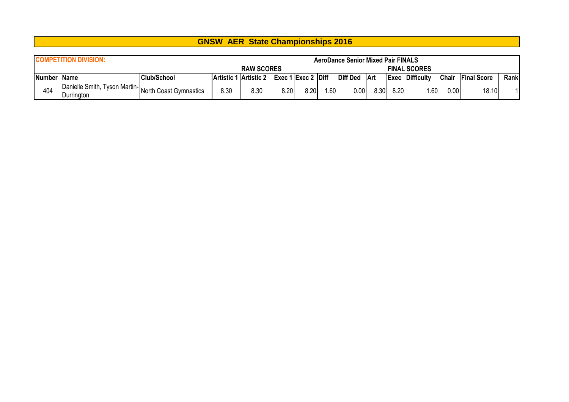|             | <b>COMPETITION DIVISION:</b>                                             |                    |      |                       |      |                             | <b>AeroDance Senior Mixed Pair FINALS</b> |                 |       |      |                        |              |                    |      |
|-------------|--------------------------------------------------------------------------|--------------------|------|-----------------------|------|-----------------------------|-------------------------------------------|-----------------|-------|------|------------------------|--------------|--------------------|------|
|             |                                                                          |                    |      | <b>RAW SCORES</b>     |      |                             |                                           |                 |       |      | <b>FINAL SCORES</b>    |              |                    |      |
| Number Name |                                                                          | <b>Club/School</b> |      | Artistic 1 Artistic 2 |      | $\left $ Exec 1 Exec 2 Diff |                                           | <b>Diff Ded</b> | Art   |      | <b>Exec Difficulty</b> | <b>Chair</b> | <b>Final Score</b> | Rank |
|             | IDanielle Smith, Tyson Martin- North Coast Gymnastics Inc.<br>Durrington |                    | 8.30 | 8.30                  | 8.20 | 8.20                        | .60                                       | $0.00\,$        | 8.30I | 8.20 | .60                    | 0.00         | 18.10              |      |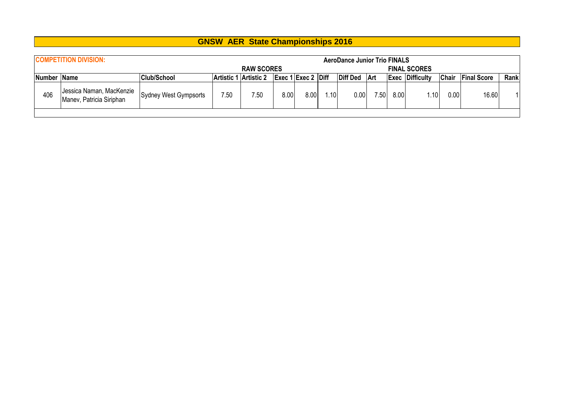|             | <b>COMPETITION DIVISION:</b>                         |                       |                       |                   |      |                                                    |      | <b>AeroDance Junior Trio FINALS</b> |      |      |                        |              |                    |      |
|-------------|------------------------------------------------------|-----------------------|-----------------------|-------------------|------|----------------------------------------------------|------|-------------------------------------|------|------|------------------------|--------------|--------------------|------|
|             |                                                      |                       |                       | <b>RAW SCORES</b> |      |                                                    |      |                                     |      |      | <b>FINAL SCORES</b>    |              |                    |      |
| Number Name |                                                      | <b>Club/School</b>    | Artistic 1 Artistic 2 |                   |      | $\left \right $ Exec 1 Exec 2 $\left \right $ Diff |      | Diff Ded Art                        |      |      | <b>Exec Difficulty</b> | <b>Chair</b> | <b>Final Score</b> | Rank |
| 406         | Jessica Naman, MacKenzie<br>Manev, Patricia Siriphan | Sydney West Gympsorts | 7.50                  | 7.50              | 8.00 | 8.00                                               | 1.10 | 0.00                                | 7.50 | 8.00 | .10                    | 0.00         | 16.60              |      |
|             |                                                      |                       |                       |                   |      |                                                    |      |                                     |      |      |                        |              |                    |      |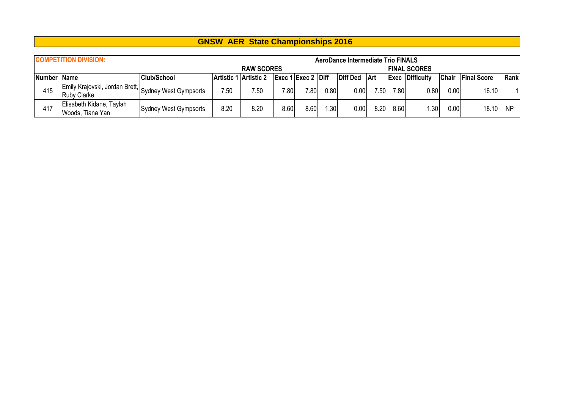|             | <b>COMPETITION DIVISION:</b>                                               |                       |      |                       |      |                                    |      | AeroDance Intermediate Trio FINALS |                |      |                        |              |                    |           |
|-------------|----------------------------------------------------------------------------|-----------------------|------|-----------------------|------|------------------------------------|------|------------------------------------|----------------|------|------------------------|--------------|--------------------|-----------|
|             |                                                                            |                       |      | <b>RAW SCORES</b>     |      |                                    |      |                                    |                |      | <b>FINAL SCORES</b>    |              |                    |           |
| Number Name |                                                                            | <b>Club/School</b>    |      | Artistic 1 Artistic 2 |      | $\left \right $ Exec 1 Exec 2 Diff |      | Diff Ded                           | ∣Art           |      | <b>Exec Difficulty</b> | <b>Chair</b> | <b>Final Score</b> | Rank      |
| 415         | Emily Krajovski, Jordan Brett, Sydney West Gympsorts<br><b>Ruby Clarke</b> |                       | 7.50 | 7.50                  | 7.80 | 7.80                               | 0.80 | 0.00                               | $^{\prime}.50$ | 7.80 | 0.80                   | 0.00         | 16.10              |           |
| 417         | Elisabeth Kidane, Taylah<br>Woods, Tiana Yan                               | Sydney West Gympsorts | 8.20 | 8.20                  | 8.60 | 8.60                               | .30  | 0.00                               | 8.20           | 8.60 | .30 <sub>1</sub>       | 0.00         | 18.10              | <b>NP</b> |